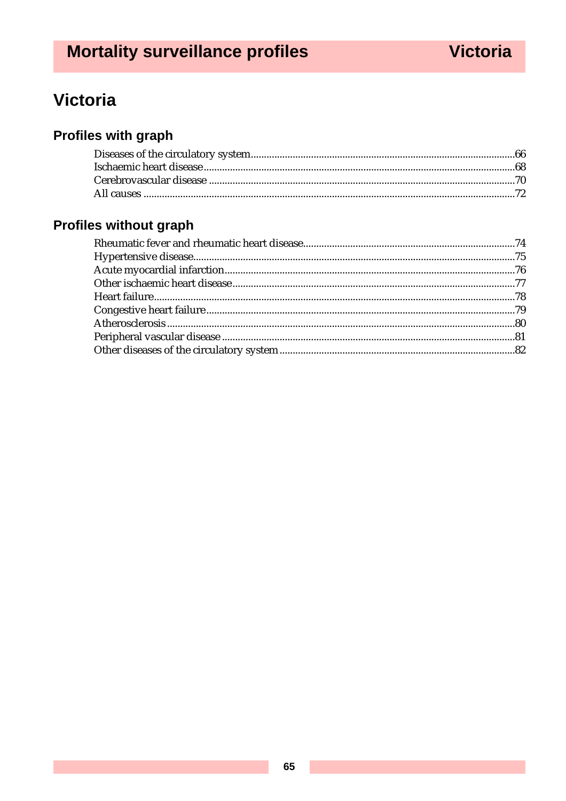# **Victoria**

# **Profiles with graph**

# Profiles without graph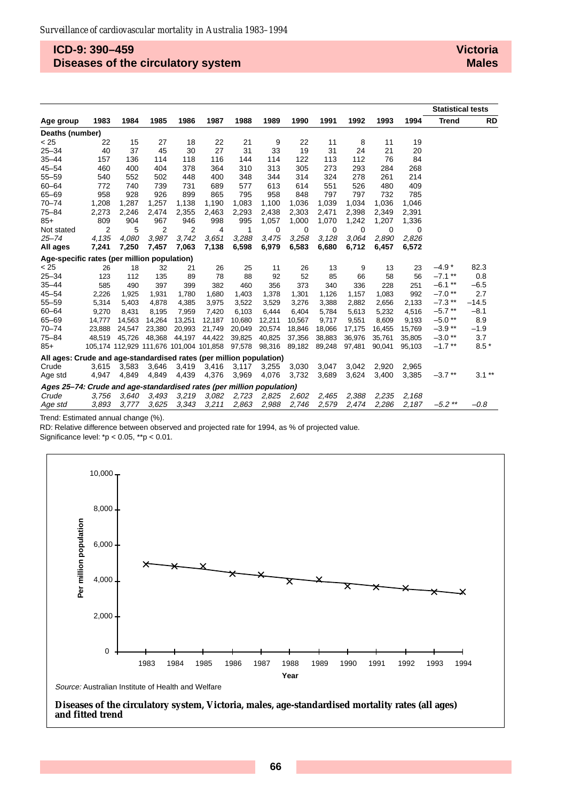## **ICD-9: 390–459 Diseases of the circulatory system**

#### **Victoria Males**

|                                                                       |        |        |                                         |        |        |        |          |        |             |        |        |          | <b>Statistical tests</b> |           |
|-----------------------------------------------------------------------|--------|--------|-----------------------------------------|--------|--------|--------|----------|--------|-------------|--------|--------|----------|--------------------------|-----------|
| Age group                                                             | 1983   | 1984   | 1985                                    | 1986   | 1987   | 1988   | 1989     | 1990   | 1991        | 1992   | 1993   | 1994     | <b>Trend</b>             | <b>RD</b> |
| Deaths (number)                                                       |        |        |                                         |        |        |        |          |        |             |        |        |          |                          |           |
| < 25                                                                  | 22     | 15     | 27                                      | 18     | 22     | 21     | 9        | 22     | 11          | 8      | 11     | 19       |                          |           |
| $25 - 34$                                                             | 40     | 37     | 45                                      | 30     | 27     | 31     | 33       | 19     | 31          | 24     | 21     | 20       |                          |           |
| $35 - 44$                                                             | 157    | 136    | 114                                     | 118    | 116    | 144    | 114      | 122    | 113         | 112    | 76     | 84       |                          |           |
| $45 - 54$                                                             | 460    | 400    | 404                                     | 378    | 364    | 310    | 313      | 305    | 273         | 293    | 284    | 268      |                          |           |
| $55 - 59$                                                             | 540    | 552    | 502                                     | 448    | 400    | 348    | 344      | 314    | 324         | 278    | 261    | 214      |                          |           |
| $60 - 64$                                                             | 772    | 740    | 739                                     | 731    | 689    | 577    | 613      | 614    | 551         | 526    | 480    | 409      |                          |           |
| $65 - 69$                                                             | 958    | 928    | 926                                     | 899    | 865    | 795    | 958      | 848    | 797         | 797    | 732    | 785      |                          |           |
| $70 - 74$                                                             | 1,208  | 1,287  | 1,257                                   | 1,138  | 1,190  | 1,083  | 1,100    | 1,036  | 1,039       | 1.034  | 1,036  | 1,046    |                          |           |
| $75 - 84$                                                             | 2,273  | 2,246  | 2,474                                   | 2,355  | 2,463  | 2,293  | 2,438    | 2,303  | 2,471       | 2,398  | 2,349  | 2,391    |                          |           |
| $85+$                                                                 | 809    | 904    | 967                                     | 946    | 998    | 995    | 1,057    | 1,000  | 1,070       | 1,242  | 1,207  | 1,336    |                          |           |
| Not stated                                                            | 2      | 5      | 2                                       | 2      | 4      | 1      | $\Omega$ | 0      | $\mathbf 0$ | 0      | 0      | $\Omega$ |                          |           |
| $25 - 74$                                                             | 4,135  | 4,080  | 3.987                                   | 3,742  | 3,651  | 3,288  | 3,475    | 3.258  | 3,128       | 3.064  | 2.890  | 2,826    |                          |           |
| All ages                                                              | 7,241  | 7,250  | 7,457                                   | 7,063  | 7,138  | 6,598  | 6,979    | 6,583  | 6,680       | 6,712  | 6,457  | 6,572    |                          |           |
| Age-specific rates (per million population)                           |        |        |                                         |        |        |        |          |        |             |        |        |          |                          |           |
| < 25                                                                  | 26     | 18     | 32                                      | 21     | 26     | 25     | 11       | 26     | 13          | 9      | 13     | 23       | $-4.9*$                  | 82.3      |
| $25 - 34$                                                             | 123    | 112    | 135                                     | 89     | 78     | 88     | 92       | 52     | 85          | 66     | 58     | 56       | $-7.1$ **                | 0.8       |
| $35 - 44$                                                             | 585    | 490    | 397                                     | 399    | 382    | 460    | 356      | 373    | 340         | 336    | 228    | 251      | $-6.1$ **                | $-6.5$    |
| $45 - 54$                                                             | 2,226  | 1,925  | 1,931                                   | 1,780  | 1,680  | 1,403  | 1,378    | 1,301  | 1,126       | 1,157  | 1,083  | 992      | $-7.0$ **                | 2.7       |
| $55 - 59$                                                             | 5,314  | 5,403  | 4,878                                   | 4,385  | 3,975  | 3,522  | 3,529    | 3,276  | 3,388       | 2,882  | 2,656  | 2,133    | $-7.3$ **                | $-14.5$   |
| $60 - 64$                                                             | 9,270  | 8,431  | 8,195                                   | 7,959  | 7,420  | 6,103  | 6,444    | 6,404  | 5,784       | 5,613  | 5,232  | 4,516    | $-5.7**$                 | $-8.1$    |
| $65 - 69$                                                             | 14,777 | 14,563 | 14,264                                  | 13,251 | 12,187 | 10,680 | 12,211   | 10,567 | 9,717       | 9,551  | 8,609  | 9,193    | $-5.0**$                 | 8.9       |
| $70 - 74$                                                             | 23.888 | 24.547 | 23.380                                  | 20,993 | 21,749 | 20,049 | 20,574   | 18.846 | 18,066      | 17,175 | 16.455 | 15,769   | $-3.9**$                 | $-1.9$    |
| $75 - 84$                                                             | 48,519 | 45,726 | 48,368                                  | 44,197 | 44,422 | 39,825 | 40,825   | 37,356 | 38,883      | 36,976 | 35,761 | 35,805   | $-3.0**$                 | 3.7       |
| $85+$                                                                 |        |        | 105,174 112,929 111,676 101,004 101,858 |        |        | 97,578 | 98,316   | 89,182 | 89,248      | 97,481 | 90,041 | 95,103   | $-1.7$ **                | $8.5*$    |
| All ages: Crude and age-standardised rates (per million population)   |        |        |                                         |        |        |        |          |        |             |        |        |          |                          |           |
| Crude                                                                 | 3,615  | 3.583  | 3,646                                   | 3,419  | 3,416  | 3,117  | 3,255    | 3,030  | 3,047       | 3.042  | 2.920  | 2,965    |                          |           |
| Age std                                                               | 4,947  | 4,849  | 4,849                                   | 4,439  | 4,376  | 3,969  | 4,076    | 3,732  | 3,689       | 3,624  | 3,400  | 3,385    | $-3.7$ **                | $3.1**$   |
| Ages 25-74: Crude and age-standardised rates (per million population) |        |        |                                         |        |        |        |          |        |             |        |        |          |                          |           |
| Crude                                                                 | 3,756  | 3.640  | 3,493                                   | 3,219  | 3,082  | 2,723  | 2,825    | 2,602  | 2,465       | 2,388  | 2,235  | 2,168    |                          |           |
| Age std                                                               | 3,893  | 3.777  | 3.625                                   | 3,343  | 3,211  | 2,863  | 2,988    | 2.746  | 2,579       | 2.474  | 2.286  | 2.187    | $-5.2$ **                | $-0.8$    |

Trend: Estimated annual change (%).

RD: Relative difference between observed and projected rate for 1994, as % of projected value.

Significance level: \*p < 0.05, \*\*p < 0.01.



Source: Australian Institute of Health and Welfare

**Diseases of the circulatory system, Victoria, males, age-standardised mortality rates (all ages) and fitted trend**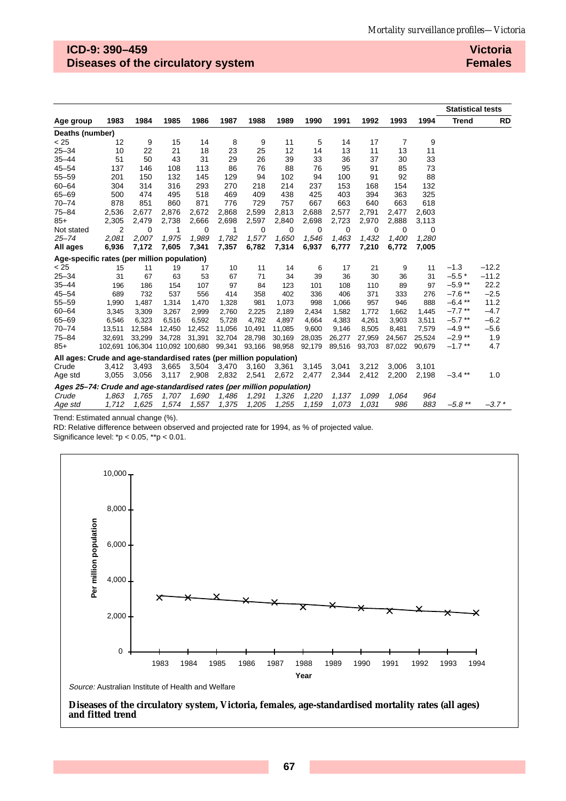## **ICD-9: 390–459 Diseases of the circulatory system**

**Victoria Females**

|                                                                       |        |          |                                 |        |        |        |          |        |        |             |        |        | <b>Statistical tests</b> |           |
|-----------------------------------------------------------------------|--------|----------|---------------------------------|--------|--------|--------|----------|--------|--------|-------------|--------|--------|--------------------------|-----------|
| Age group                                                             | 1983   | 1984     | 1985                            | 1986   | 1987   | 1988   | 1989     | 1990   | 1991   | 1992        | 1993   | 1994   | <b>Trend</b>             | <b>RD</b> |
| Deaths (number)                                                       |        |          |                                 |        |        |        |          |        |        |             |        |        |                          |           |
| < 25                                                                  | 12     | 9        | 15                              | 14     | 8      | 9      | 11       | 5      | 14     | 17          | 7      | 9      |                          |           |
| $25 - 34$                                                             | 10     | 22       | 21                              | 18     | 23     | 25     | 12       | 14     | 13     | 11          | 13     | 11     |                          |           |
| $35 - 44$                                                             | 51     | 50       | 43                              | 31     | 29     | 26     | 39       | 33     | 36     | 37          | 30     | 33     |                          |           |
| $45 - 54$                                                             | 137    | 146      | 108                             | 113    | 86     | 76     | 88       | 76     | 95     | 91          | 85     | 73     |                          |           |
| $55 - 59$                                                             | 201    | 150      | 132                             | 145    | 129    | 94     | 102      | 94     | 100    | 91          | 92     | 88     |                          |           |
| $60 - 64$                                                             | 304    | 314      | 316                             | 293    | 270    | 218    | 214      | 237    | 153    | 168         | 154    | 132    |                          |           |
| $65 - 69$                                                             | 500    | 474      | 495                             | 518    | 469    | 409    | 438      | 425    | 403    | 394         | 363    | 325    |                          |           |
| $70 - 74$                                                             | 878    | 851      | 860                             | 871    | 776    | 729    | 757      | 667    | 663    | 640         | 663    | 618    |                          |           |
| $75 - 84$                                                             | 2,536  | 2,677    | 2,876                           | 2,672  | 2,868  | 2,599  | 2,813    | 2,688  | 2,577  | 2,791       | 2,477  | 2,603  |                          |           |
| $85+$                                                                 | 2,305  | 2,479    | 2,738                           | 2,666  | 2,698  | 2,597  | 2,840    | 2,698  | 2,723  | 2,970       | 2,888  | 3,113  |                          |           |
| Not stated                                                            | 2      | $\Omega$ | 1                               | 0      | 1      | 0      | $\Omega$ | 0      | 0      | $\mathbf 0$ | 0      | 0      |                          |           |
| $25 - 74$                                                             | 2,081  | 2,007    | 1,975                           | 1,989  | 1,782  | 1,577  | 1,650    | 1,546  | 1,463  | 1,432       | 1,400  | 1,280  |                          |           |
| All ages                                                              | 6,936  | 7,172    | 7,605                           | 7,341  | 7,357  | 6,782  | 7,314    | 6,937  | 6,777  | 7,210       | 6,772  | 7,005  |                          |           |
| Age-specific rates (per million population)                           |        |          |                                 |        |        |        |          |        |        |             |        |        |                          |           |
| < 25                                                                  | 15     | 11       | 19                              | 17     | 10     | 11     | 14       | 6      | 17     | 21          | 9      | 11     | $-1.3$                   | $-12.2$   |
| $25 - 34$                                                             | 31     | 67       | 63                              | 53     | 67     | 71     | 34       | 39     | 36     | 30          | 36     | 31     | $-5.5*$                  | $-11.2$   |
| $35 - 44$                                                             | 196    | 186      | 154                             | 107    | 97     | 84     | 123      | 101    | 108    | 110         | 89     | 97     | $-5.9**$                 | 22.2      |
| $45 - 54$                                                             | 689    | 732      | 537                             | 556    | 414    | 358    | 402      | 336    | 406    | 371         | 333    | 276    | $-7.6$ **                | $-2.5$    |
| $55 - 59$                                                             | 1,990  | 1,487    | 1,314                           | 1,470  | 1,328  | 981    | 1,073    | 998    | 1,066  | 957         | 946    | 888    | $-6.4$ **                | 11.2      |
| $60 - 64$                                                             | 3,345  | 3,309    | 3,267                           | 2,999  | 2,760  | 2,225  | 2,189    | 2,434  | 1,582  | 1,772       | 1,662  | 1,445  | $-7.7$ **                | $-4.7$    |
| $65 - 69$                                                             | 6,546  | 6,323    | 6,516                           | 6,592  | 5,728  | 4,782  | 4,897    | 4,664  | 4,383  | 4,261       | 3,903  | 3,511  | $-5.7$ **                | $-6.2$    |
| $70 - 74$                                                             | 13,511 | 12,584   | 12,450                          | 12,452 | 11,056 | 10,491 | 11,085   | 9,600  | 9,146  | 8,505       | 8,481  | 7,579  | $-4.9**$                 | $-5.6$    |
| $75 - 84$                                                             | 32,691 | 33.299   | 34,728                          | 31,391 | 32,704 | 28,798 | 30,169   | 28,035 | 26,277 | 27,959      | 24,567 | 25,524 | $-2.9**$                 | 1.9       |
| $85+$                                                                 |        |          | 102,691 106,304 110,092 100,680 |        | 99,341 | 93,166 | 98,958   | 92,179 | 89,516 | 93,703      | 87.022 | 90.679 | $-1.7$ **                | 4.7       |
| All ages: Crude and age-standardised rates (per million population)   |        |          |                                 |        |        |        |          |        |        |             |        |        |                          |           |
| Crude                                                                 | 3,412  | 3,493    | 3,665                           | 3,504  | 3,470  | 3,160  | 3,361    | 3,145  | 3,041  | 3,212       | 3.006  | 3,101  |                          |           |
| Age std                                                               | 3,055  | 3,056    | 3,117                           | 2,908  | 2,832  | 2,541  | 2,672    | 2,477  | 2,344  | 2,412       | 2,200  | 2,198  | $-3.4$ **                | 1.0       |
| Ages 25–74: Crude and age-standardised rates (per million population) |        |          |                                 |        |        |        |          |        |        |             |        |        |                          |           |
| Crude                                                                 | 1,863  | 1,765    | 1,707                           | 1,690  | 1,486  | 1,291  | 1,326    | 1,220  | 1,137  | 1,099       | 1.064  | 964    |                          |           |
| Age std                                                               | 1,712  | 1,625    | 1,574                           | 1,557  | 1,375  | 1,205  | 1,255    | 1,159  | 1,073  | 1.031       | 986    | 883    | $-5.8$ **                | $-3.7*$   |

Trend: Estimated annual change (%).

RD: Relative difference between observed and projected rate for 1994, as % of projected value.

Significance level: \*p < 0.05, \*\*p < 0.01.



Source: Australian Institute of Health and Welfare

**Diseases of the circulatory system, Victoria, females, age-standardised mortality rates (all ages) and fitted trend**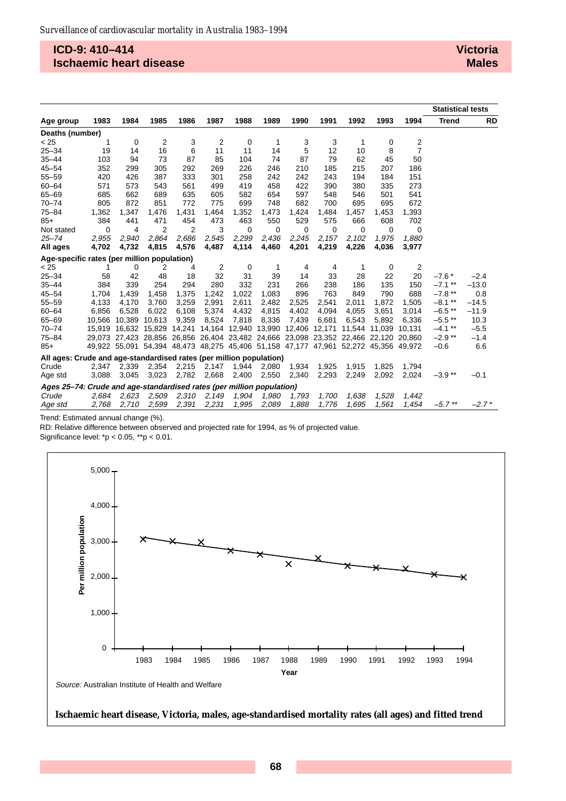## **ICD-9: 410–414 Ischaemic heart disease**

|                                                                       |       |                                                                                     |                |       |                |       |       |               |       |        |        |                | <b>Statistical tests</b> |           |
|-----------------------------------------------------------------------|-------|-------------------------------------------------------------------------------------|----------------|-------|----------------|-------|-------|---------------|-------|--------|--------|----------------|--------------------------|-----------|
| Age group                                                             | 1983  | 1984                                                                                | 1985           | 1986  | 1987           | 1988  | 1989  | 1990          | 1991  | 1992   | 1993   | 1994           | <b>Trend</b>             | <b>RD</b> |
| Deaths (number)                                                       |       |                                                                                     |                |       |                |       |       |               |       |        |        |                |                          |           |
| < 25                                                                  | 1     | 0                                                                                   | $\overline{2}$ | 3     | 2              | 0     | 1     | 3             | 3     | 1      | 0      | 2              |                          |           |
| $25 - 34$                                                             | 19    | 14                                                                                  | 16             | 6     | 11             | 11    | 14    | 5             | 12    | 10     | 8      | 7              |                          |           |
| $35 - 44$                                                             | 103   | 94                                                                                  | 73             | 87    | 85             | 104   | 74    | 87            | 79    | 62     | 45     | 50             |                          |           |
| $45 - 54$                                                             | 352   | 299                                                                                 | 305            | 292   | 269            | 226   | 246   | 210           | 185   | 215    | 207    | 186            |                          |           |
| $55 - 59$                                                             | 420   | 426                                                                                 | 387            | 333   | 301            | 258   | 242   | 242           | 243   | 194    | 184    | 151            |                          |           |
| $60 - 64$                                                             | 571   | 573                                                                                 | 543            | 561   | 499            | 419   | 458   | 422           | 390   | 380    | 335    | 273            |                          |           |
| $65 - 69$                                                             | 685   | 662                                                                                 | 689            | 635   | 605            | 582   | 654   | 597           | 548   | 546    | 501    | 541            |                          |           |
| $70 - 74$                                                             | 805   | 872                                                                                 | 851            | 772   | 775            | 699   | 748   | 682           | 700   | 695    | 695    | 672            |                          |           |
| $75 - 84$                                                             | 1,362 | 1,347                                                                               | 1,476          | 1,431 | 1,464          | 1,352 | 1,473 | 1,424         | 1,484 | 1,457  | 1,453  | 1,393          |                          |           |
| $85+$                                                                 | 384   | 441                                                                                 | 471            | 454   | 473            | 463   | 550   | 529           | 575   | 666    | 608    | 702            |                          |           |
| Not stated                                                            | 0     | 4                                                                                   | 2              | 2     | 3              | 0     | 0     | 0             | 0     | 0      | 0      | 0              |                          |           |
| $25 - 74$                                                             | 2,955 | 2.940                                                                               | 2,864          | 2,686 | 2,545          | 2,299 | 2,436 | 2,245         | 2,157 | 2,102  | 1.975  | 1.880          |                          |           |
| All ages                                                              | 4,702 | 4,732                                                                               | 4,815          | 4,576 | 4,487          | 4,114 | 4,460 | 4,201         | 4,219 | 4,226  | 4,036  | 3,977          |                          |           |
| Age-specific rates (per million population)                           |       |                                                                                     |                |       |                |       |       |               |       |        |        |                |                          |           |
| < 25                                                                  | 1     | 0                                                                                   | 2              | 4     | $\overline{2}$ | 0     | -1    | 4             | 4     | 1      | 0      | $\overline{2}$ |                          |           |
| $25 - 34$                                                             | 58    | 42                                                                                  | 48             | 18    | 32             | 31    | 39    | 14            | 33    | 28     | 22     | 20             | $-7.6*$                  | $-2.4$    |
| $35 - 44$                                                             | 384   | 339                                                                                 | 254            | 294   | 280            | 332   | 231   | 266           | 238   | 186    | 135    | 150            | $-7.1$ **                | $-13.0$   |
| $45 - 54$                                                             | 1,704 | 1,439                                                                               | 1,458          | 1,375 | 1,242          | 1,022 | 1,083 | 896           | 763   | 849    | 790    | 688            | $-7.8**$                 | 0.8       |
| $55 - 59$                                                             | 4,133 | 4,170                                                                               | 3,760          | 3,259 | 2,991          | 2,611 | 2,482 | 2,525         | 2,541 | 2,011  | 1,872  | 1.505          | $-8.1***$                | $-14.5$   |
| $60 - 64$                                                             | 6,856 | 6,528                                                                               | 6,022          | 6,108 | 5,374          | 4,432 | 4,815 | 4,402         | 4,094 | 4,055  | 3,651  | 3,014          | $-6.5$ **                | $-11.9$   |
| $65 - 69$                                                             |       | 10.566 10.389                                                                       | 10.613         | 9,359 | 8,524          | 7,818 | 8,336 | 7,439         | 6.681 | 6.543  | 5.892  | 6.336          | $-5.5$ **                | 10.3      |
| $70 - 74$                                                             |       | 15,919 16,632 15,829 14,241 14,164 12,940 13,990                                    |                |       |                |       |       | 12,406 12,171 |       | 11,544 | 11,039 | 10,131         | $-4.1***$                | $-5.5$    |
| $75 - 84$                                                             |       | 29,073 27,423 28,856 26,856 26,404 23,482 24,666 23,098 23,352 22,466 22,120        |                |       |                |       |       |               |       |        |        | 20.860         | $-2.9**$                 | $-1.4$    |
| $85+$                                                                 |       | 49,922 55,091 54,394 48,473 48,275 45,406 51,158 47,177 47,961 52,272 45,356 49,972 |                |       |                |       |       |               |       |        |        |                | $-0.6$                   | 6.6       |
| All ages: Crude and age-standardised rates (per million population)   |       |                                                                                     |                |       |                |       |       |               |       |        |        |                |                          |           |
| Crude                                                                 | 2,347 | 2,339                                                                               | 2,354          | 2,215 | 2,147          | 1,944 | 2,080 | 1,934         | 1,925 | 1,915  | 1,825  | 1,794          |                          |           |
| Age std                                                               | 3,088 | 3,045                                                                               | 3,023          | 2,782 | 2,668          | 2,400 | 2,550 | 2,340         | 2,293 | 2,249  | 2,092  | 2,024          | $-3.9**$                 | $-0.1$    |
| Ages 25–74: Crude and age-standardised rates (per million population) |       |                                                                                     |                |       |                |       |       |               |       |        |        |                |                          |           |
| Crude                                                                 | 2,684 | 2,623                                                                               | 2,509          | 2,310 | 2,149          | 1,904 | 1,980 | 1,793         | 1,700 | 1,638  | 1,528  | 1,442          |                          |           |
| Age std                                                               | 2,768 | 2,710                                                                               | 2,599          | 2,391 | 2,231          | 1,995 | 2,089 | 1,888         | 1,776 | 1,695  | 1,561  | 1,454          | $-5.7$ **                | $-2.7*$   |

Trend: Estimated annual change (%).

RD: Relative difference between observed and projected rate for 1994, as % of projected value.



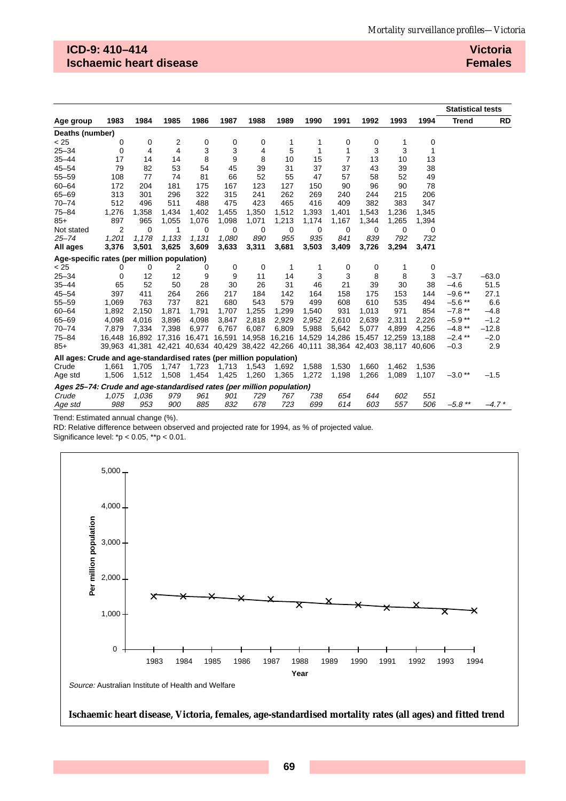## **ICD-9: 410–414 Ischaemic heart disease**

**Victoria Females**

|                                                                       |        |                                                                              |               |        |        |        |        |        |                |                      |       |        | <b>Statistical tests</b> |           |
|-----------------------------------------------------------------------|--------|------------------------------------------------------------------------------|---------------|--------|--------|--------|--------|--------|----------------|----------------------|-------|--------|--------------------------|-----------|
| Age group                                                             | 1983   | 1984                                                                         | 1985          | 1986   | 1987   | 1988   | 1989   | 1990   | 1991           | 1992                 | 1993  | 1994   | <b>Trend</b>             | <b>RD</b> |
| Deaths (number)                                                       |        |                                                                              |               |        |        |        |        |        |                |                      |       |        |                          |           |
| < 25                                                                  | 0      | 0                                                                            | 2             | 0      | 0      | 0      | 1      | 1      | 0              | 0                    | 1     | 0      |                          |           |
| $25 - 34$                                                             | 0      | 4                                                                            | 4             | 3      | 3      | 4      | 5      | 1      | 1              | 3                    | 3     | 1      |                          |           |
| $35 - 44$                                                             | 17     | 14                                                                           | 14            | 8      | 9      | 8      | 10     | 15     | $\overline{7}$ | 13                   | 10    | 13     |                          |           |
| $45 - 54$                                                             | 79     | 82                                                                           | 53            | 54     | 45     | 39     | 31     | 37     | 37             | 43                   | 39    | 38     |                          |           |
| $55 - 59$                                                             | 108    | 77                                                                           | 74            | 81     | 66     | 52     | 55     | 47     | 57             | 58                   | 52    | 49     |                          |           |
| $60 - 64$                                                             | 172    | 204                                                                          | 181           | 175    | 167    | 123    | 127    | 150    | 90             | 96                   | 90    | 78     |                          |           |
| $65 - 69$                                                             | 313    | 301                                                                          | 296           | 322    | 315    | 241    | 262    | 269    | 240            | 244                  | 215   | 206    |                          |           |
| $70 - 74$                                                             | 512    | 496                                                                          | 511           | 488    | 475    | 423    | 465    | 416    | 409            | 382                  | 383   | 347    |                          |           |
| $75 - 84$                                                             | 1,276  | 1,358                                                                        | 1,434         | 1,402  | 1,455  | 1,350  | 1,512  | 1,393  | 1,401          | 1,543                | 1,236 | 1,345  |                          |           |
| $85+$                                                                 | 897    | 965                                                                          | 1,055         | 1,076  | 1,098  | 1,071  | 1,213  | 1,174  | 1,167          | 1,344                | 1,265 | 1,394  |                          |           |
| Not stated                                                            | 2      | $\Omega$                                                                     | 1             | 0      | 0      | 0      | 0      | 0      | 0              | 0                    | 0     | 0      |                          |           |
| $25 - 74$                                                             | 1,201  | 1,178                                                                        | 1,133         | 1,131  | 1.080  | 890    | 955    | 935    | 841            | 839                  | 792   | 732    |                          |           |
| All ages                                                              | 3,376  | 3,501                                                                        | 3,625         | 3,609  | 3,633  | 3,311  | 3,681  | 3,503  | 3,409          | 3,726                | 3,294 | 3,471  |                          |           |
| Age-specific rates (per million population)                           |        |                                                                              |               |        |        |        |        |        |                |                      |       |        |                          |           |
| < 25                                                                  | 0      | 0                                                                            | 2             | 0      | 0      | 0      | 1      | 1      | 0              | 0                    | 1     | 0      |                          |           |
| $25 - 34$                                                             | 0      | 12                                                                           | 12            | 9      | 9      | 11     | 14     | 3      | 3              | 8                    | 8     | 3      | $-3.7$                   | $-63.0$   |
| $35 - 44$                                                             | 65     | 52                                                                           | 50            | 28     | 30     | 26     | 31     | 46     | 21             | 39                   | 30    | 38     | $-4.6$                   | 51.5      |
| $45 - 54$                                                             | 397    | 411                                                                          | 264           | 266    | 217    | 184    | 142    | 164    | 158            | 175                  | 153   | 144    | $-9.6**$                 | 27.1      |
| $55 - 59$                                                             | 1,069  | 763                                                                          | 737           | 821    | 680    | 543    | 579    | 499    | 608            | 610                  | 535   | 494    | $-5.6**$                 | 6.6       |
| $60 - 64$                                                             | 1,892  | 2,150                                                                        | 1,871         | 1,791  | 1,707  | 1,255  | 1,299  | 1,540  | 931            | 1,013                | 971   | 854    | $-7.8**$                 | $-4.8$    |
| $65 - 69$                                                             | 4.098  | 4,016                                                                        | 3,896         | 4,098  | 3,847  | 2,818  | 2,929  | 2,952  | 2,610          | 2,639                | 2,311 | 2,226  | $-5.9**$                 | $-1.2$    |
| $70 - 74$                                                             | 7,879  | 7,334                                                                        | 7,398         | 6,977  | 6,767  | 6,087  | 6,809  | 5,988  | 5,642          | 5,077                | 4,899 | 4,256  | $-4.8**$                 | $-12.8$   |
| $75 - 84$                                                             | 16,448 |                                                                              | 16,892 17,316 | 16,471 | 16,591 | 14,958 | 16,216 | 14,529 |                | 14,286 15,457 12,259 |       | 13,188 | $-2.4$ **                | $-2.0$    |
| $85+$                                                                 |        | 39,963 41,381 42,421 40,634 40,429 38,422 42,266 40,111 38,364 42,403 38,117 |               |        |        |        |        |        |                |                      |       | 40.606 | $-0.3$                   | 2.9       |
| All ages: Crude and age-standardised rates (per million population)   |        |                                                                              |               |        |        |        |        |        |                |                      |       |        |                          |           |
| Crude                                                                 | 1,661  | 1,705                                                                        | 1,747         | 1,723  | 1,713  | 1,543  | 1,692  | 1,588  | 1,530          | 1,660                | 1,462 | 1,536  |                          |           |
| Age std                                                               | 1,506  | 1,512                                                                        | 1,508         | 1,454  | 1,425  | 1,260  | 1,365  | 1,272  | 1,198          | 1,266                | 1,089 | 1,107  | $-3.0**$                 | $-1.5$    |
| Ages 25-74: Crude and age-standardised rates (per million population) |        |                                                                              |               |        |        |        |        |        |                |                      |       |        |                          |           |
| Crude                                                                 | 1,075  | 1,036                                                                        | 979           | 961    | 901    | 729    | 767    | 738    | 654            | 644                  | 602   | 551    |                          |           |
| Age std                                                               | 988    | 953                                                                          | 900           | 885    | 832    | 678    | 723    | 699    | 614            | 603                  | 557   | 506    | $-5.8$ **                | $-4.7*$   |

Trend: Estimated annual change (%).

RD: Relative difference between observed and projected rate for 1994, as % of projected value.

Significance level: \*p < 0.05, \*\*p < 0.01.



#### **Ischaemic heart disease, Victoria, females, age-standardised mortality rates (all ages) and fitted trend**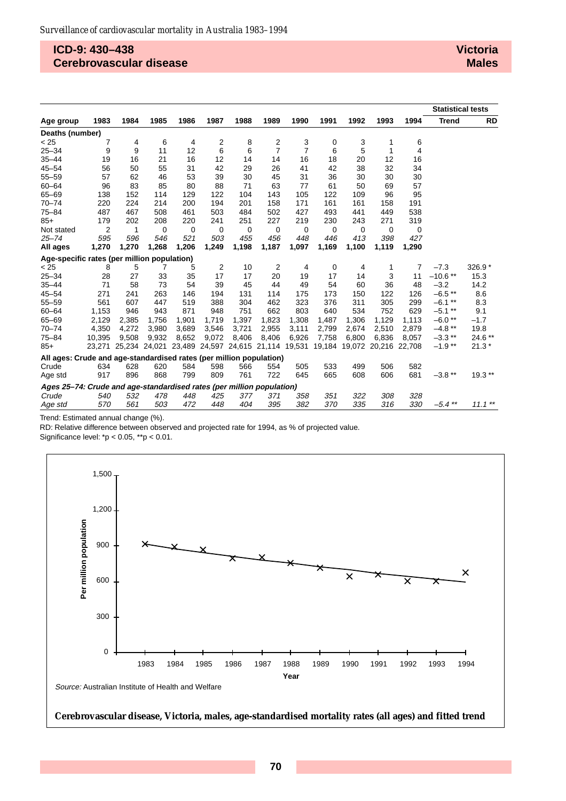### **ICD-9: 430–438 Cerebrovascular disease**

|                                                                       |        |       |       |                                                         |       |       |                |                |             |       |                             |       | <b>Statistical tests</b> |           |
|-----------------------------------------------------------------------|--------|-------|-------|---------------------------------------------------------|-------|-------|----------------|----------------|-------------|-------|-----------------------------|-------|--------------------------|-----------|
| Age group                                                             | 1983   | 1984  | 1985  | 1986                                                    | 1987  | 1988  | 1989           | 1990           | 1991        | 1992  | 1993                        | 1994  | <b>Trend</b>             | <b>RD</b> |
| Deaths (number)                                                       |        |       |       |                                                         |       |       |                |                |             |       |                             |       |                          |           |
| < 25                                                                  | 7      | 4     | 6     | 4                                                       | 2     | 8     | 2              | 3              | 0           | 3     | 1                           | 6     |                          |           |
| $25 - 34$                                                             | 9      | 9     | 11    | 12                                                      | 6     | 6     | $\overline{7}$ | $\overline{7}$ | 6           | 5     | 1                           | 4     |                          |           |
| $35 - 44$                                                             | 19     | 16    | 21    | 16                                                      | 12    | 14    | 14             | 16             | 18          | 20    | 12                          | 16    |                          |           |
| $45 - 54$                                                             | 56     | 50    | 55    | 31                                                      | 42    | 29    | 26             | 41             | 42          | 38    | 32                          | 34    |                          |           |
| $55 - 59$                                                             | 57     | 62    | 46    | 53                                                      | 39    | 30    | 45             | 31             | 36          | 30    | 30                          | 30    |                          |           |
| $60 - 64$                                                             | 96     | 83    | 85    | 80                                                      | 88    | 71    | 63             | 77             | 61          | 50    | 69                          | 57    |                          |           |
| $65 - 69$                                                             | 138    | 152   | 114   | 129                                                     | 122   | 104   | 143            | 105            | 122         | 109   | 96                          | 95    |                          |           |
| $70 - 74$                                                             | 220    | 224   | 214   | 200                                                     | 194   | 201   | 158            | 171            | 161         | 161   | 158                         | 191   |                          |           |
| $75 - 84$                                                             | 487    | 467   | 508   | 461                                                     | 503   | 484   | 502            | 427            | 493         | 441   | 449                         | 538   |                          |           |
| $85+$                                                                 | 179    | 202   | 208   | 220                                                     | 241   | 251   | 227            | 219            | 230         | 243   | 271                         | 319   |                          |           |
| Not stated                                                            | 2      | 1     | 0     | 0                                                       | 0     | 0     | 0              | 0              | $\mathbf 0$ | 0     | 0                           | 0     |                          |           |
| $25 - 74$                                                             | 595    | 596   | 546   | 521                                                     | 503   | 455   | 456            | 448            | 446         | 413   | 398                         | 427   |                          |           |
| All ages                                                              | 1,270  | 1,270 | 1,268 | 1,206                                                   | 1,249 | 1,198 | 1,187          | 1,097          | 1,169       | 1,100 | 1,119                       | 1,290 |                          |           |
| Age-specific rates (per million population)                           |        |       |       |                                                         |       |       |                |                |             |       |                             |       |                          |           |
| < 25                                                                  | 8      | 5     | 7     | 5                                                       | 2     | 10    | 2              | 4              | 0           | 4     | 1                           | 7     | $-7.3$                   | 326.9 *   |
| $25 - 34$                                                             | 28     | 27    | 33    | 35                                                      | 17    | 17    | 20             | 19             | 17          | 14    | 3                           | 11    | $-10.6**$                | 15.3      |
| $35 - 44$                                                             | 71     | 58    | 73    | 54                                                      | 39    | 45    | 44             | 49             | 54          | 60    | 36                          | 48    | $-3.2$                   | 14.2      |
| $45 - 54$                                                             | 271    | 241   | 263   | 146                                                     | 194   | 131   | 114            | 175            | 173         | 150   | 122                         | 126   | $-6.5$ **                | 8.6       |
| $55 - 59$                                                             | 561    | 607   | 447   | 519                                                     | 388   | 304   | 462            | 323            | 376         | 311   | 305                         | 299   | $-6.1$ **                | 8.3       |
| $60 - 64$                                                             | 1,153  | 946   | 943   | 871                                                     | 948   | 751   | 662            | 803            | 640         | 534   | 752                         | 629   | $-5.1$ **                | 9.1       |
| $65 - 69$                                                             | 2,129  | 2,385 | 1,756 | 1,901                                                   | 1.719 | 1,397 | 1,823          | 1,308          | 1,487       | 1,306 | 1.129                       | 1,113 | $-6.0**$                 | $-1.7$    |
| $70 - 74$                                                             | 4,350  | 4,272 | 3,980 | 3,689                                                   | 3,546 | 3,721 | 2,955          | 3,111          | 2,799       | 2,674 | 2,510                       | 2,879 | $-4.8**$                 | 19.8      |
| $75 - 84$                                                             | 10.395 | 9.508 | 9,932 | 8,652                                                   | 9,072 | 8,406 | 8,406          | 6.926          | 7,758       | 6.800 | 6.836                       | 8.057 | $-3.3$ **                | $24.6**$  |
| $85+$                                                                 |        |       |       | 23,271 25,234 24,021 23,489 24,597 24,615 21,114 19,531 |       |       |                |                |             |       | 19,184 19,072 20,216 22,708 |       | $-1.9**$                 | $21.3*$   |
| All ages: Crude and age-standardised rates (per million population)   |        |       |       |                                                         |       |       |                |                |             |       |                             |       |                          |           |
| Crude                                                                 | 634    | 628   | 620   | 584                                                     | 598   | 566   | 554            | 505            | 533         | 499   | 506                         | 582   |                          |           |
| Age std                                                               | 917    | 896   | 868   | 799                                                     | 809   | 761   | 722            | 645            | 665         | 608   | 606                         | 681   | $-3.8**$                 | $19.3**$  |
| Ages 25-74: Crude and age-standardised rates (per million population) |        |       |       |                                                         |       |       |                |                |             |       |                             |       |                          |           |
| Crude                                                                 | 540    | 532   | 478   | 448                                                     | 425   | 377   | 371            | 358            | 351         | 322   | 308                         | 328   |                          |           |
| Age std                                                               | 570    | 561   | 503   | 472                                                     | 448   | 404   | 395            | 382            | 370         | 335   | 316                         | 330   | $-5.4$ **                | $11.1***$ |

Trend: Estimated annual change (%).

RD: Relative difference between observed and projected rate for 1994, as % of projected value.

Significance level: \*p < 0.05, \*\*p < 0.01.



#### **Cerebrovascular disease, Victoria, males, age-standardised mortality rates (all ages) and fitted trend**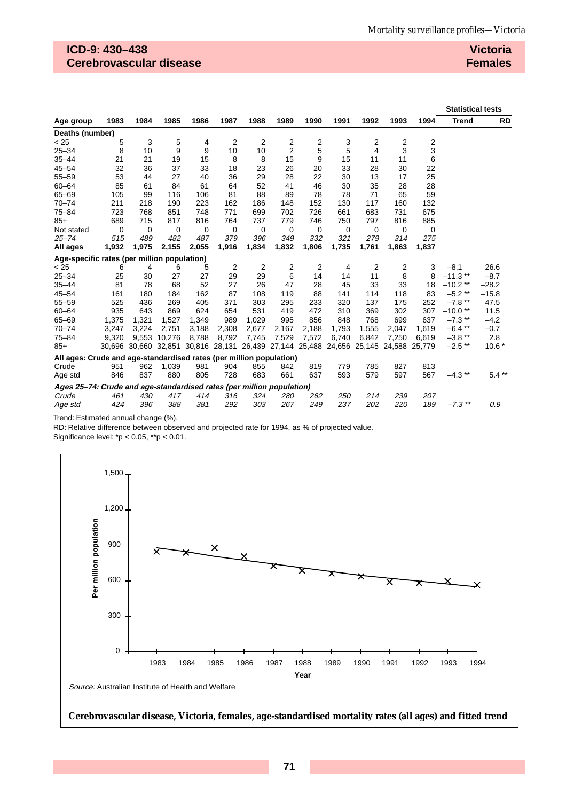## **ICD-9: 430–438 Cerebrovascular disease**

**Victoria Females**

|                                                                       |       |       |             |                                                                              |       |             |                |       |             |       |       |        | <b>Statistical tests</b> |           |
|-----------------------------------------------------------------------|-------|-------|-------------|------------------------------------------------------------------------------|-------|-------------|----------------|-------|-------------|-------|-------|--------|--------------------------|-----------|
| Age group                                                             | 1983  | 1984  | 1985        | 1986                                                                         | 1987  | 1988        | 1989           | 1990  | 1991        | 1992  | 1993  | 1994   | <b>Trend</b>             | <b>RD</b> |
| Deaths (number)                                                       |       |       |             |                                                                              |       |             |                |       |             |       |       |        |                          |           |
| < 25                                                                  | 5     | 3     | 5           | 4                                                                            | 2     | 2           | 2              | 2     | 3           | 2     | 2     | 2      |                          |           |
| $25 - 34$                                                             | 8     | 10    | 9           | 9                                                                            | 10    | 10          | $\overline{2}$ | 5     | 5           | 4     | 3     | 3      |                          |           |
| $35 - 44$                                                             | 21    | 21    | 19          | 15                                                                           | 8     | 8           | 15             | 9     | 15          | 11    | 11    | 6      |                          |           |
| $45 - 54$                                                             | 32    | 36    | 37          | 33                                                                           | 18    | 23          | 26             | 20    | 33          | 28    | 30    | 22     |                          |           |
| $55 - 59$                                                             | 53    | 44    | 27          | 40                                                                           | 36    | 29          | 28             | 22    | 30          | 13    | 17    | 25     |                          |           |
| $60 - 64$                                                             | 85    | 61    | 84          | 61                                                                           | 64    | 52          | 41             | 46    | 30          | 35    | 28    | 28     |                          |           |
| $65 - 69$                                                             | 105   | 99    | 116         | 106                                                                          | 81    | 88          | 89             | 78    | 78          | 71    | 65    | 59     |                          |           |
| $70 - 74$                                                             | 211   | 218   | 190         | 223                                                                          | 162   | 186         | 148            | 152   | 130         | 117   | 160   | 132    |                          |           |
| $75 - 84$                                                             | 723   | 768   | 851         | 748                                                                          | 771   | 699         | 702            | 726   | 661         | 683   | 731   | 675    |                          |           |
| $85+$                                                                 | 689   | 715   | 817         | 816                                                                          | 764   | 737         | 779            | 746   | 750         | 797   | 816   | 885    |                          |           |
| Not stated                                                            | 0     | 0     | $\mathbf 0$ | 0                                                                            | 0     | $\mathbf 0$ | 0              | 0     | $\mathbf 0$ | 0     | 0     | 0      |                          |           |
| $25 - 74$                                                             | 515   | 489   | 482         | 487                                                                          | 379   | 396         | 349            | 332   | 321         | 279   | 314   | 275    |                          |           |
| All ages                                                              | 1,932 | 1,975 | 2,155       | 2,055                                                                        | 1,916 | 1,834       | 1,832          | 1,806 | 1,735       | 1,761 | 1,863 | 1,837  |                          |           |
| Age-specific rates (per million population)                           |       |       |             |                                                                              |       |             |                |       |             |       |       |        |                          |           |
| < 25                                                                  | 6     | 4     | 6           | 5                                                                            | 2     | 2           | 2              | 2     | 4           | 2     | 2     | 3      | $-8.1$                   | 26.6      |
| $25 - 34$                                                             | 25    | 30    | 27          | 27                                                                           | 29    | 29          | 6              | 14    | 14          | 11    | 8     | 8      | $-11.3**$                | $-8.7$    |
| $35 - 44$                                                             | 81    | 78    | 68          | 52                                                                           | 27    | 26          | 47             | 28    | 45          | 33    | 33    | 18     | $-10.2**$                | $-28.2$   |
| $45 - 54$                                                             | 161   | 180   | 184         | 162                                                                          | 87    | 108         | 119            | 88    | 141         | 114   | 118   | 83     | $-5.2**$                 | $-15.8$   |
| $55 - 59$                                                             | 525   | 436   | 269         | 405                                                                          | 371   | 303         | 295            | 233   | 320         | 137   | 175   | 252    | $-7.8$ **                | 47.5      |
| $60 - 64$                                                             | 935   | 643   | 869         | 624                                                                          | 654   | 531         | 419            | 472   | 310         | 369   | 302   | 307    | $-10.0**$                | 11.5      |
| $65 - 69$                                                             | 1,375 | 1,321 | 1,527       | 1,349                                                                        | 989   | 1,029       | 995            | 856   | 848         | 768   | 699   | 637    | $-7.3$ **                | $-4.2$    |
| $70 - 74$                                                             | 3,247 | 3,224 | 2,751       | 3,188                                                                        | 2,308 | 2,677       | 2,167          | 2,188 | 1,793       | 1,555 | 2,047 | 1,619  | $-6.4$ **                | $-0.7$    |
| $75 - 84$                                                             | 9,320 | 9.553 | 10,276      | 8,788                                                                        | 8.792 | 7,745       | 7,529          | 7,572 | 6,740       | 6,842 | 7.250 | 6,619  | $-3.8**$                 | 2.8       |
| $85+$                                                                 |       |       |             | 30,696 30,660 32,851 30,816 28,131 26,439 27,144 25,488 24,656 25,145 24,588 |       |             |                |       |             |       |       | 25,779 | $-2.5$ **                | $10.6*$   |
| All ages: Crude and age-standardised rates (per million population)   |       |       |             |                                                                              |       |             |                |       |             |       |       |        |                          |           |
| Crude                                                                 | 951   | 962   | 1,039       | 981                                                                          | 904   | 855         | 842            | 819   | 779         | 785   | 827   | 813    |                          |           |
| Age std                                                               | 846   | 837   | 880         | 805                                                                          | 728   | 683         | 661            | 637   | 593         | 579   | 597   | 567    | $-4.3$ **                | $5.4***$  |
| Ages 25-74: Crude and age-standardised rates (per million population) |       |       |             |                                                                              |       |             |                |       |             |       |       |        |                          |           |
| Crude                                                                 | 461   | 430   | 417         | 414                                                                          | 316   | 324         | 280            | 262   | 250         | 214   | 239   | 207    |                          |           |
| Age std                                                               | 424   | 396   | 388         | 381                                                                          | 292   | 303         | 267            | 249   | 237         | 202   | 220   | 189    | $-7.3$ **                | 0.9       |

Trend: Estimated annual change (%).

RD: Relative difference between observed and projected rate for 1994, as % of projected value.

Significance level: \*p < 0.05, \*\*p < 0.01.



**Cerebrovascular disease, Victoria, females, age-standardised mortality rates (all ages) and fitted trend**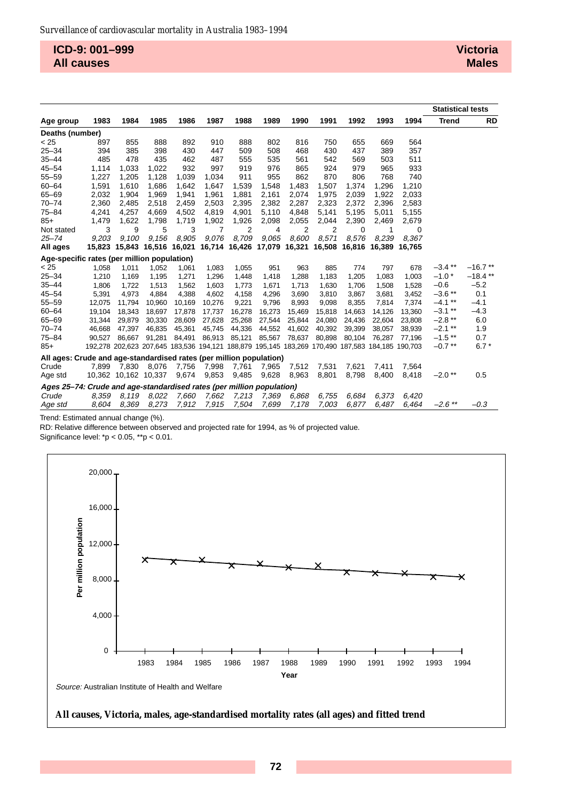**ICD-9: 001–999 All causes**

|                                                                       |        |                      |                                                                                                 |        |        |        |                                           |        |        |        |        |        | <b>Statistical tests</b> |           |
|-----------------------------------------------------------------------|--------|----------------------|-------------------------------------------------------------------------------------------------|--------|--------|--------|-------------------------------------------|--------|--------|--------|--------|--------|--------------------------|-----------|
| Age group                                                             | 1983   | 1984                 | 1985                                                                                            | 1986   | 1987   | 1988   | 1989                                      | 1990   | 1991   | 1992   | 1993   | 1994   | <b>Trend</b>             | RD        |
| Deaths (number)                                                       |        |                      |                                                                                                 |        |        |        |                                           |        |        |        |        |        |                          |           |
| < 25                                                                  | 897    | 855                  | 888                                                                                             | 892    | 910    | 888    | 802                                       | 816    | 750    | 655    | 669    | 564    |                          |           |
| $25 - 34$                                                             | 394    | 385                  | 398                                                                                             | 430    | 447    | 509    | 508                                       | 468    | 430    | 437    | 389    | 357    |                          |           |
| $35 - 44$                                                             | 485    | 478                  | 435                                                                                             | 462    | 487    | 555    | 535                                       | 561    | 542    | 569    | 503    | 511    |                          |           |
| $45 - 54$                                                             | 1,114  | 1.033                | 1,022                                                                                           | 932    | 997    | 919    | 976                                       | 865    | 924    | 979    | 965    | 933    |                          |           |
| $55 - 59$                                                             | 1,227  | 1,205                | 1,128                                                                                           | 1.039  | 1.034  | 911    | 955                                       | 862    | 870    | 806    | 768    | 740    |                          |           |
| $60 - 64$                                                             | 1,591  | 1.610                | 1,686                                                                                           | 1.642  | 1,647  | 1,539  | 1,548                                     | 1.483  | 1,507  | 1,374  | 1.296  | 1,210  |                          |           |
| $65 - 69$                                                             | 2,032  | 1,904                | 1,969                                                                                           | 1,941  | 1,961  | 1,881  | 2,161                                     | 2,074  | 1,975  | 2,039  | 1,922  | 2,033  |                          |           |
| $70 - 74$                                                             | 2,360  | 2,485                | 2,518                                                                                           | 2,459  | 2,503  | 2,395  | 2,382                                     | 2,287  | 2,323  | 2,372  | 2,396  | 2,583  |                          |           |
| $75 - 84$                                                             | 4,241  | 4,257                | 4,669                                                                                           | 4,502  | 4,819  | 4,901  | 5,110                                     | 4,848  | 5,141  | 5,195  | 5,011  | 5,155  |                          |           |
| $85+$                                                                 | 1,479  | 1,622                | 1,798                                                                                           | 1,719  | 1,902  | 1,926  | 2,098                                     | 2,055  | 2,044  | 2,390  | 2,469  | 2,679  |                          |           |
| Not stated                                                            | 3      | 9                    | 5                                                                                               | 3      | 7      | 2      | 4                                         | 2      | 2      | 0      | 1      | 0      |                          |           |
| $25 - 74$                                                             | 9,203  | 9.100                | 9.156                                                                                           | 8,905  | 9,076  | 8,709  | 9.065                                     | 8.600  | 8,571  | 8.576  | 8,239  | 8.367  |                          |           |
| All ages                                                              | 15,823 |                      | 15,843 16,516 16,021                                                                            |        |        |        | 16,714 16,426 17,079 16,321 16,508 16,816 |        |        |        | 16,389 | 16.765 |                          |           |
| Age-specific rates (per million population)                           |        |                      |                                                                                                 |        |        |        |                                           |        |        |        |        |        |                          |           |
| < 25                                                                  | 1,058  | 1,011                | 1,052                                                                                           | 1,061  | 1,083  | 1,055  | 951                                       | 963    | 885    | 774    | 797    | 678    | $-3.4$ **                | $-16.7**$ |
| $25 - 34$                                                             | 1,210  | 1,169                | 1,195                                                                                           | 1,271  | 1,296  | 1,448  | 1,418                                     | 1,288  | 1,183  | 1,205  | 1,083  | 1,003  | $-1.0*$                  | $-18.4**$ |
| $35 - 44$                                                             | 1,806  | 1,722                | 1,513                                                                                           | 1,562  | 1,603  | 1,773  | 1,671                                     | 1,713  | 1,630  | 1,706  | 1,508  | 1,528  | $-0.6$                   | $-5.2$    |
| $45 - 54$                                                             | 5,391  | 4.973                | 4.884                                                                                           | 4.388  | 4.602  | 4,158  | 4.296                                     | 3.690  | 3.810  | 3.867  | 3.681  | 3,452  | $-3.6**$                 | 0.1       |
| $55 - 59$                                                             | 12,075 | 11,794               | 10,960                                                                                          | 10,169 | 10,276 | 9,221  | 9,796                                     | 8,993  | 9,098  | 8,355  | 7,814  | 7,374  | $-4.1***$                | $-4.1$    |
| $60 - 64$                                                             | 19,104 | 18.343               | 18.697                                                                                          | 17,878 | 17,737 | 16,278 | 16,273                                    | 15.469 | 15,818 | 14.663 | 14.126 | 13,360 | $-3.1$ **                | $-4.3$    |
| $65 - 69$                                                             | 31,344 | 29,879               | 30,330                                                                                          | 28,609 | 27,628 | 25,268 | 27,544                                    | 25,844 | 24,080 | 24,436 | 22,604 | 23,808 | $-2.8**$                 | 6.0       |
| $70 - 74$                                                             | 46.668 | 47.397               | 46,835                                                                                          | 45,361 | 45,745 | 44,336 | 44,552                                    | 41,602 | 40,392 | 39,399 | 38.057 | 38,939 | $-2.1***$                | 1.9       |
| $75 - 84$                                                             | 90,527 | 86.667               | 91.281                                                                                          | 84,491 | 86,913 | 85,121 | 85,567                                    | 78,637 | 80,898 | 80,104 | 76.287 | 77,196 | $-1.5$ **                | 0.7       |
| $85+$                                                                 |        |                      | 192,278 202,623 207,645 183,536 194,121 188,879 195,145 183,269 170,490 187,583 184,185 190,703 |        |        |        |                                           |        |        |        |        |        | $-0.7$ **                | $6.7*$    |
| All ages: Crude and age-standardised rates (per million population)   |        |                      |                                                                                                 |        |        |        |                                           |        |        |        |        |        |                          |           |
| Crude                                                                 | 7.899  | 7.830                | 8.076                                                                                           | 7,756  | 7,998  | 7,761  | 7,965                                     | 7,512  | 7,531  | 7,621  | 7.411  | 7.564  |                          |           |
| Age std                                                               |        | 10,362 10,162 10,337 |                                                                                                 | 9,674  | 9,853  | 9,485  | 9,628                                     | 8,963  | 8,801  | 8,798  | 8,400  | 8,418  | $-2.0**$                 | 0.5       |
| Ages 25-74: Crude and age-standardised rates (per million population) |        |                      |                                                                                                 |        |        |        |                                           |        |        |        |        |        |                          |           |
| Crude                                                                 | 8.359  | 8.119                | 8.022                                                                                           | 7,660  | 7,662  | 7,213  | 7,369                                     | 6.868  | 6,755  | 6.684  | 6.373  | 6.420  |                          |           |
| Age std                                                               | 8.604  | 8.369                | 8,273                                                                                           | 7,912  | 7,915  | 7,504  | 7,699                                     | 7.178  | 7,003  | 6.877  | 6.487  | 6.464  | $-2.6$ **                | $-0.3$    |

Trend: Estimated annual change (%).

RD: Relative difference between observed and projected rate for 1994, as % of projected value.

Significance level: \*p < 0.05, \*\*p < 0.01.



#### **All causes, Victoria, males, age-standardised mortality rates (all ages) and fitted trend**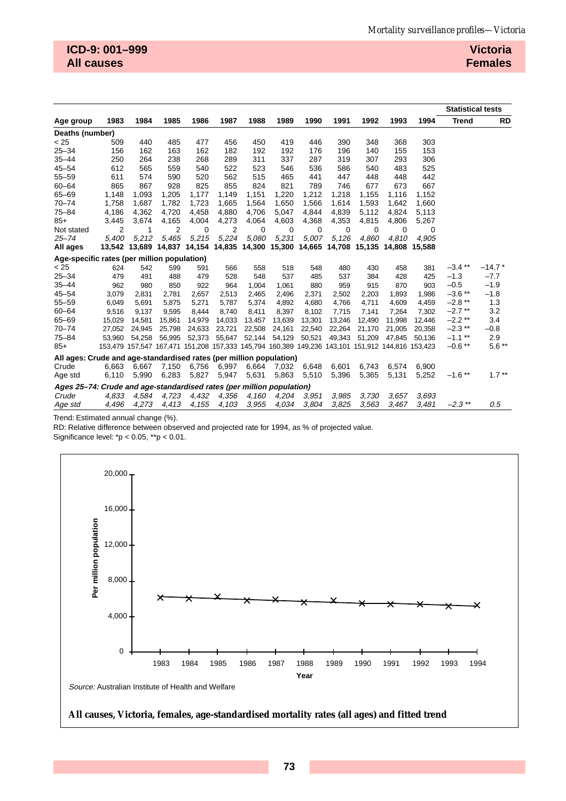|                                                                       |        |        |                                                                |        |        |        |        |        |        |        |                                                                                                 |               | <b>Statistical tests</b> |           |
|-----------------------------------------------------------------------|--------|--------|----------------------------------------------------------------|--------|--------|--------|--------|--------|--------|--------|-------------------------------------------------------------------------------------------------|---------------|--------------------------|-----------|
| Age group                                                             | 1983   | 1984   | 1985                                                           | 1986   | 1987   | 1988   | 1989   | 1990   | 1991   | 1992   | 1993                                                                                            | 1994          | <b>Trend</b>             | <b>RD</b> |
| Deaths (number)                                                       |        |        |                                                                |        |        |        |        |        |        |        |                                                                                                 |               |                          |           |
| < 25                                                                  | 509    | 440    | 485                                                            | 477    | 456    | 450    | 419    | 446    | 390    | 348    | 368                                                                                             | 303           |                          |           |
| $25 - 34$                                                             | 156    | 162    | 163                                                            | 162    | 182    | 192    | 192    | 176    | 196    | 140    | 155                                                                                             | 153           |                          |           |
| $35 - 44$                                                             | 250    | 264    | 238                                                            | 268    | 289    | 311    | 337    | 287    | 319    | 307    | 293                                                                                             | 306           |                          |           |
| $45 - 54$                                                             | 612    | 565    | 559                                                            | 540    | 522    | 523    | 546    | 536    | 586    | 540    | 483                                                                                             | 525           |                          |           |
| $55 - 59$                                                             | 611    | 574    | 590                                                            | 520    | 562    | 515    | 465    | 441    | 447    | 448    | 448                                                                                             | 442           |                          |           |
| $60 - 64$                                                             | 865    | 867    | 928                                                            | 825    | 855    | 824    | 821    | 789    | 746    | 677    | 673                                                                                             | 667           |                          |           |
| $65 - 69$                                                             | 1,148  | 1,093  | 1,205                                                          | 1,177  | 1,149  | 1,151  | 1,220  | 1,212  | 1,218  | 1,155  | 1,116                                                                                           | 1,152         |                          |           |
| $70 - 74$                                                             | 1,758  | 1,687  | 1,782                                                          | 1,723  | 1,665  | 1,564  | 1,650  | 1,566  | 1,614  | 1,593  | 1,642                                                                                           | 1,660         |                          |           |
| $75 - 84$                                                             | 4,186  | 4,362  | 4,720                                                          | 4,458  | 4,880  | 4,706  | 5,047  | 4,844  | 4,839  | 5,112  | 4,824                                                                                           | 5,113         |                          |           |
| $85+$                                                                 | 3,445  | 3,674  | 4,165                                                          | 4,004  | 4,273  | 4,064  | 4,603  | 4,368  | 4,353  | 4,815  | 4,806                                                                                           | 5,267         |                          |           |
| Not stated                                                            | 2      | 1      | 2                                                              | 0      | 2      | 0      | 0      | 0      | 0      | 0      | 0                                                                                               | 0             |                          |           |
| $25 - 74$                                                             | 5.400  | 5,212  | 5.465                                                          | 5,215  | 5,224  | 5,080  | 5,231  | 5,007  | 5,126  | 4,860  | 4.810                                                                                           | 4.905         |                          |           |
| All ages                                                              | 13,542 |        | 13,689 14,837 14,154 14,835 14,300 15,300 14,665 14,708 15,135 |        |        |        |        |        |        |        |                                                                                                 | 14.808 15.588 |                          |           |
| Age-specific rates (per million population)                           |        |        |                                                                |        |        |        |        |        |        |        |                                                                                                 |               |                          |           |
| < 25                                                                  | 624    | 542    | 599                                                            | 591    | 566    | 558    | 518    | 548    | 480    | 430    | 458                                                                                             | 381           | $-3.4$ **                | $-14.7*$  |
| $25 - 34$                                                             | 479    | 491    | 488                                                            | 479    | 528    | 548    | 537    | 485    | 537    | 384    | 428                                                                                             | 425           | $-1.3$                   | $-7.7$    |
| $35 - 44$                                                             | 962    | 980    | 850                                                            | 922    | 964    | 1,004  | 1,061  | 880    | 959    | 915    | 870                                                                                             | 903           | $-0.5$                   | $-1.9$    |
| $45 - 54$                                                             | 3.079  | 2,831  | 2,781                                                          | 2.657  | 2,513  | 2,465  | 2,496  | 2,371  | 2,502  | 2,203  | 1.893                                                                                           | 1.986         | $-3.6$ **                | $-1.8$    |
| $55 - 59$                                                             | 6,049  | 5,691  | 5,875                                                          | 5,271  | 5,787  | 5,374  | 4,892  | 4,680  | 4,766  | 4,711  | 4,609                                                                                           | 4,459         | $-2.8$ **                | 1.3       |
| $60 - 64$                                                             | 9,516  | 9,137  | 9,595                                                          | 8,444  | 8.740  | 8,411  | 8,397  | 8,102  | 7,715  | 7,141  | 7.264                                                                                           | 7,302         | $-2.7$ **                | 3.2       |
| $65 - 69$                                                             | 15,029 | 14,581 | 15,861                                                         | 14,979 | 14,033 | 13,457 | 13,639 | 13,301 | 13,246 | 12,490 | 11,998                                                                                          | 12,446        | $-2.2$ **                | 3.4       |
| $70 - 74$                                                             | 27.052 | 24,945 | 25,798                                                         | 24,633 | 23,721 | 22,508 | 24,161 | 22,540 | 22,264 | 21,170 | 21,005                                                                                          | 20,358        | $-2.3$ **                | $-0.8$    |
| $75 - 84$                                                             | 53.960 | 54.258 | 56.995                                                         | 52,373 | 55,647 | 52,144 | 54,129 | 50,521 | 49,343 | 51,209 | 47.845                                                                                          | 50,136        | $-1.1$ **                | 2.9       |
| $85+$                                                                 |        |        |                                                                |        |        |        |        |        |        |        | 153,479 157,547 167,471 151,208 157,333 145,794 160,389 149,236 143,101 151,912 144,816 153,423 |               | $-0.6$ **                | $5.6**$   |
| All ages: Crude and age-standardised rates (per million population)   |        |        |                                                                |        |        |        |        |        |        |        |                                                                                                 |               |                          |           |
| Crude                                                                 | 6,663  | 6,667  | 7,150                                                          | 6,756  | 6,997  | 6,664  | 7,032  | 6,648  | 6,601  | 6,743  | 6,574                                                                                           | 6,900         |                          |           |
| Age std                                                               | 6,110  | 5,990  | 6,283                                                          | 5,827  | 5,947  | 5,631  | 5,863  | 5,510  | 5,396  | 5,365  | 5,131                                                                                           | 5,252         | $-1.6$ **                | $1.7***$  |
| Ages 25–74: Crude and age-standardised rates (per million population) |        |        |                                                                |        |        |        |        |        |        |        |                                                                                                 |               |                          |           |
| Crude                                                                 | 4.833  | 4,584  | 4,723                                                          | 4,432  | 4,356  | 4,160  | 4,204  | 3.951  | 3,985  | 3.730  | 3.657                                                                                           | 3.693         |                          |           |
| Age std                                                               | 4.496  | 4.273  | 4,413                                                          | 4,155  | 4,103  | 3.955  | 4,034  | 3.804  | 3.825  | 3.563  | 3.467                                                                                           | 3.481         | $-2.3$ **                | 0.5       |

Trend: Estimated annual change (%).

RD: Relative difference between observed and projected rate for 1994, as % of projected value.

Significance level: \*p < 0.05, \*\*p < 0.01.



#### **All causes, Victoria, females, age-standardised mortality rates (all ages) and fitted trend**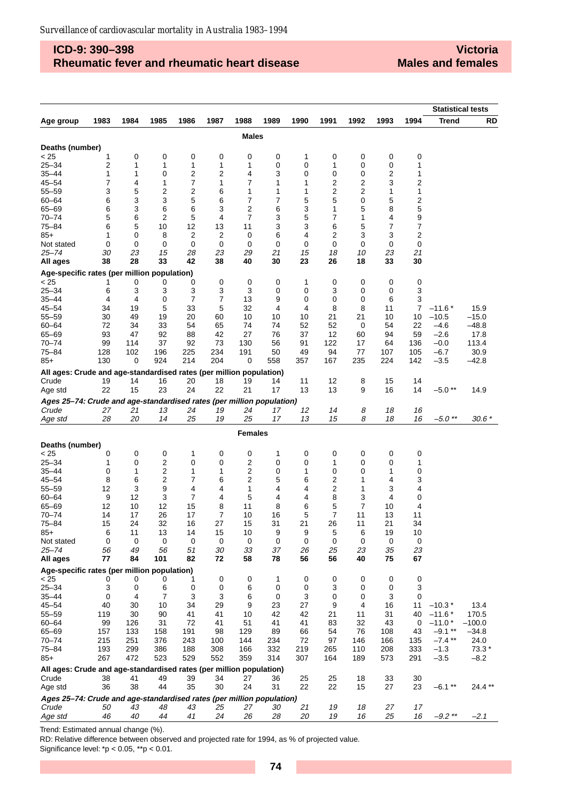## **ICD-9: 390–398 Rheumatic fever and rheumatic heart disease**

**Victoria Males and females**

|                                                                              |          |          |                         |                |                |                |             |          |          |          |                |                     | <b>Statistical tests</b> |           |
|------------------------------------------------------------------------------|----------|----------|-------------------------|----------------|----------------|----------------|-------------|----------|----------|----------|----------------|---------------------|--------------------------|-----------|
| Age group                                                                    | 1983     | 1984     | 1985                    | 1986           | 1987           | 1988           | 1989        | 1990     | 1991     | 1992     | 1993           | 1994                | <b>Trend</b>             | <b>RD</b> |
|                                                                              |          |          |                         |                |                | <b>Males</b>   |             |          |          |          |                |                     |                          |           |
| Deaths (number)                                                              |          |          |                         |                |                |                |             |          |          |          |                |                     |                          |           |
| < 25                                                                         | 1        | 0        | 0                       | 0              | 0              | 0              | 0           | 1        | 0        | 0        | 0              | 0                   |                          |           |
| $25 - 34$                                                                    | 2        | 1        | 1                       | 1              | 1              | 1              | 0           | 0        | 1        | 0        | 0              | 1                   |                          |           |
| $35 - 44$                                                                    | 1        | 1        | 0                       | 2              | $\overline{2}$ | 4              | 3           | 0        | 0        | 0        | $\overline{2}$ | 1                   |                          |           |
| $45 - 54$                                                                    | 7        | 4        | 1                       | 7              | 1              | 7              | 1           | 1        | 2        | 2        | 3              | 2                   |                          |           |
| $55 - 59$                                                                    | 3        | 5        | 2                       | 2              | 6              | 1              | 1           | 1        | 2        | 2        | 1              | 1                   |                          |           |
| $60 - 64$<br>$65 - 69$                                                       | 6<br>6   | 3<br>3   | 3<br>6                  | 5<br>6         | 6<br>3         | 7<br>2         | 7<br>6      | 5<br>3   | 5<br>1   | 0<br>5   | 5<br>8         | $\overline{c}$<br>5 |                          |           |
| 70–74                                                                        | 5        | 6        | 2                       | 5              | 4              | 7              | 3           | 5        | 7        | 1        | 4              | 9                   |                          |           |
| 75-84                                                                        | 6        | 5        | 10                      | 12             | 13             | 11             | 3           | 3        | 6        | 5        | 7              | 7                   |                          |           |
| 85+                                                                          | 1        | 0        | 8                       | 2              | 2              | 0              | 6           | 4        | 2        | 3        | 3              | 2                   |                          |           |
| Not stated                                                                   | 0        | 0        | 0                       | 0              | $\mathbf 0$    | 0              | 0           | 0        | 0        | 0        | $\mathbf 0$    | 0                   |                          |           |
| 25–74                                                                        | 30       | 23       | 15                      | 28             | 23             | 29             | 21          | 15       | 18       | 10       | 23             | 21                  |                          |           |
| All ages                                                                     | 38       | 28       | 33                      | 42             | 38             | 40             | 30          | 23       | 26       | 18       | 33             | 30                  |                          |           |
| Age-specific rates (per million population)                                  |          |          |                         |                |                |                |             |          |          |          |                |                     |                          |           |
| < 25<br>$25 - 34$                                                            | 1<br>6   | 0<br>3   | 0<br>3                  | 0<br>3         | 0<br>3         | 0<br>3         | 0<br>0      | 1<br>0   | 0<br>3   | 0<br>0   | 0<br>0         | 0<br>3              |                          |           |
| $35 - 44$                                                                    | 4        | 4        | 0                       | $\overline{7}$ | 7              | 13             | 9           | 0        | 0        | 0        | 6              | 3                   |                          |           |
| $45 - 54$                                                                    | 34       | 19       | 5                       | 33             | 5              | 32             | 4           | 4        | 8        | 8        | 11             | 7                   | $-11.6*$                 | 15.9      |
| $55 - 59$                                                                    | 30       | 49       | 19                      | 20             | 60             | 10             | 10          | 10       | 21       | 21       | 10             | 10                  | $-10.5$                  | $-15.0$   |
| $60 - 64$                                                                    | 72       | 34       | 33                      | 54             | 65             | 74             | 74          | 52       | 52       | 0        | 54             | 22                  | $-4.6$                   | $-48.8$   |
| $65 - 69$                                                                    | 93       | 47       | 92                      | 88             | 42             | 27             | 76          | 37       | 12       | 60       | 94             | 59                  | $-2.6$                   | 17.8      |
| $70 - 74$                                                                    | 99       | 114      | 37                      | 92             | 73             | 130            | 56          | 91       | 122      | 17       | 64             | 136                 | $-0.0$                   | 113.4     |
| $75 - 84$                                                                    | 128      | 102      | 196                     | 225            | 234            | 191            | 50          | 49       | 94       | 77       | 107            | 105                 | $-6.7$                   | 30.9      |
| $85+$                                                                        | 130      | 0        | 924                     | 214            | 204            | 0              | 558         | 357      | 167      | 235      | 224            | 142                 | $-3.5$                   | $-42.8$   |
| All ages: Crude and age-standardised rates (per million population)          |          |          |                         |                |                |                |             |          |          |          |                |                     |                          |           |
| Crude                                                                        | 19       | 14       | 16                      | 20             | 18             | 19             | 14          | 11       | 12       | 8        | 15             | 14                  |                          |           |
| Age std                                                                      | 22       | 15       | 23                      | 24             | 22             | 21             | 17          | 13       | 13       | 9        | 16             | 14                  | $-5.0**$                 | 14.9      |
| Ages 25-74: Crude and age-standardised rates (per million population)        |          |          |                         |                |                |                |             |          |          |          |                |                     |                          |           |
| Crude                                                                        | 27<br>28 | 21<br>20 | 13<br>14                | 24<br>25       | 19<br>19       | 24<br>25       | 17<br>17    | 12<br>13 | 14<br>15 | 8<br>8   | 18<br>18       | 16<br>16            | $-5.0$ **                |           |
| Age std                                                                      |          |          |                         |                |                |                |             |          |          |          |                |                     |                          | 30.6 *    |
|                                                                              |          |          |                         |                |                | <b>Females</b> |             |          |          |          |                |                     |                          |           |
| Deaths (number)                                                              |          |          |                         |                |                |                |             |          |          |          |                |                     |                          |           |
| < 25<br>$25 - 34$                                                            | 0<br>1   | 0<br>0   | 0<br>2                  | 1<br>0         | 0<br>0         | 0<br>2         | 1<br>0      | 0<br>0   | 0<br>1   | 0<br>0   | 0<br>0         | 0<br>1              |                          |           |
| $35 - 44$                                                                    | 0        | 1        | $\overline{\mathbf{c}}$ | 1              | 1              | 2              | 0           | 1        | 0        | 0        | 1              | 0                   |                          |           |
| $45 - 54$                                                                    | 8        | 6        | 2                       | 7              | 6              | 2              | 5           | 6        | 2        | 1        | 4              | 3                   |                          |           |
| $55 - 59$                                                                    | 12       | 3        | 9                       | 4              | 4              | 1              | 4           | 4        | 2        | 1        | 3              | 4                   |                          |           |
| $60 - 64$                                                                    | 9        | 12       | 3                       | 7              | 4              | 5              | 4           | 4        | 8        | 3        | 4              | 0                   |                          |           |
| $65 - 69$                                                                    | 12       | 10       | 12                      | 15             | 8              | 11             | 8           | 6        | 5        | 7        | 10             | 4                   |                          |           |
| $70 - 74$                                                                    | 14       | 17       | 26                      | 17             | $\overline{7}$ | 10             | 16          | 5        | 7        | 11       | 13             | 11                  |                          |           |
| $75 - 84$                                                                    | 15       | 24       | 32                      | 16             | 27             | 15             | 31          | 21       | 26       | 11       | 21             | 34                  |                          |           |
| $85+$                                                                        | 6        | 11       | 13                      | 14             | 15             | 10             | 9           | 9        | 5        | 6        | 19             | 10                  |                          |           |
| Not stated                                                                   | 0        | 0        | 0                       | 0              | 0              | 0              | 0           | 0        | 0        | 0        | 0              | 0                   |                          |           |
| $25 - 74$<br>All ages                                                        | 56<br>77 | 49<br>84 | 56<br>101               | 51<br>82       | 30<br>72       | 33<br>58       | 37<br>78    | 26<br>56 | 25<br>56 | 23<br>40 | 35<br>75       | 23<br>67            |                          |           |
| Age-specific rates (per million population)                                  |          |          |                         |                |                |                |             |          |          |          |                |                     |                          |           |
| < 25                                                                         | 0        | 0        | 0                       | 1              | 0              | 0              | 1           | 0        | 0        | 0        | 0              | 0                   |                          |           |
| $25 - 34$                                                                    | 3        | 0        | 6                       | 0              | 0              | 6              | $\mathbf 0$ | 0        | 3        | 0        | 0              | 3                   |                          |           |
| $35 - 44$                                                                    | 0        | 4        | 7                       | 3              | 3              | 6              | 0           | 3        | 0        | 0        | 3              | 0                   |                          |           |
| $45 - 54$                                                                    | 40       | 30       | 10                      | 34             | 29             | 9              | 23          | 27       | 9        | 4        | 16             | 11                  | $-10.3*$                 | 13.4      |
| $55 - 59$                                                                    | 119      | 30       | 90                      | 41             | 41             | 10             | 42          | 42       | 21       | 11       | 31             | 40                  | $-11.6*$                 | 170.5     |
| $60 - 64$                                                                    | 99       | 126      | 31                      | 72             | 41             | 51             | 41          | 41       | 83       | 32       | 43             | 0                   | $-11.0*$                 | $-100.0$  |
| $65 - 69$                                                                    | 157      | 133      | 158                     | 191            | 98             | 129            | 89          | 66       | 54       | 76       | 108            | 43                  | $-9.1**$                 | $-34.8$   |
| $70 - 74$                                                                    | 215      | 251      | 376                     | 243            | 100            | 144            | 234         | 72       | 97       | 146      | 166            | 135                 | $-7.4$ **                | 24.0      |
| $75 - 84$                                                                    | 193      | 299      | 386                     | 188            | 308            | 166            | 332         | 219      | 265      | 110      | 208            | 333                 | $-1.3$                   | $73.3*$   |
| $85+$                                                                        | 267      | 472      | 523                     | 529            | 552            | 359            | 314         | 307      | 164      | 189      | 573            | 291                 | $-3.5$                   | $-8.2$    |
| All ages: Crude and age-standardised rates (per million population)<br>Crude |          | 41       |                         | 39             |                |                |             | 25       | 25       | 18       | 33             | 30                  |                          |           |
| Age std                                                                      | 38<br>36 | 38       | 49<br>44                | 35             | 34<br>30       | 27<br>24       | 36<br>31    | 22       | 22       | 15       | 27             | 23                  | $-6.1***$                | 24.4**    |
| Ages 25-74: Crude and age-standardised rates (per million population)        |          |          |                         |                |                |                |             |          |          |          |                |                     |                          |           |
| Crude                                                                        | 50       | 43       | 48                      | 43             | 25             | 27             | 30          | 21       | 19       | 18       | 27             | 17                  |                          |           |
| Age std                                                                      | 46       | 40       | 44                      | 41             | 24             | 26             | 28          | 20       | 19       | 16       | 25             | 16                  | $-9.2**$                 | $-2.1$    |

Trend: Estimated annual change (%).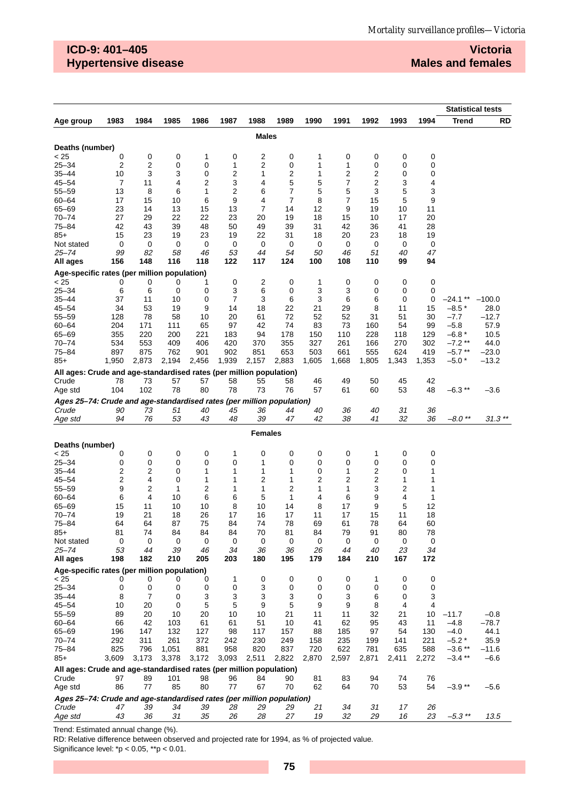## **ICD-9: 401–405 Hypertensive disease**

## **Victoria Males and females**

|                                                                              |                              |           |              |             |           |                |              |           |                |                |          |           | <b>Statistical tests</b> |                   |
|------------------------------------------------------------------------------|------------------------------|-----------|--------------|-------------|-----------|----------------|--------------|-----------|----------------|----------------|----------|-----------|--------------------------|-------------------|
| Age group                                                                    | 1983                         | 1984      | 1985         | 1986        | 1987      | 1988           | 1989         | 1990      | 1991           | 1992           | 1993     | 1994      | <b>Trend</b>             | RD                |
|                                                                              |                              |           |              |             |           | <b>Males</b>   |              |           |                |                |          |           |                          |                   |
| Deaths (number)                                                              |                              |           |              |             |           |                |              |           |                |                |          |           |                          |                   |
| < 25                                                                         | 0                            | 0         | 0            | 1           | 0         | 2              | 0            | 1         | 0              | 0              | 0        | 0         |                          |                   |
| $25 - 34$                                                                    | 2                            | 2         | 0            | 0           | 1         | 2              | 0            | 1         | 1              | 0              | 0        | 0         |                          |                   |
| $35 - 44$                                                                    | 10                           | 3         | 3            | $\mathbf 0$ | 2         | 1              | 2            | 1         | 2              | 2              | 0        | 0         |                          |                   |
| $45 - 54$                                                                    | 7                            | 11        | 4            | 2           | 3         | 4              | 5            | 5         | 7              | $\overline{c}$ | 3        | 4         |                          |                   |
| $55 - 59$                                                                    | 13                           | 8         | 6            | 1           | 2         | 6              | 7            | 5         | 5              | 3              | 5        | 3         |                          |                   |
| $60 - 64$                                                                    | 17                           | 15        | 10           | 6           | 9         | 4              | 7<br>14      | 8         | $\overline{7}$ | 15             | 5        | 9         |                          |                   |
| 65-69<br>$70 - 74$                                                           | 23<br>27                     | 14<br>29  | 13<br>22     | 15<br>22    | 13<br>23  | 7<br>20        | 19           | 12<br>18  | 9<br>15        | 19<br>10       | 10<br>17 | 11<br>20  |                          |                   |
| $75 - 84$                                                                    | 42                           | 43        | 39           | 48          | 50        | 49             | 39           | 31        | 42             | 36             | 41       | 28        |                          |                   |
| $85+$                                                                        | 15                           | 23        | 19           | 23          | 19        | 22             | 31           | 18        | 20             | 23             | 18       | 19        |                          |                   |
| Not stated                                                                   | 0                            | 0         | 0            | 0           | 0         | 0              | 0            | 0         | 0              | 0              | 0        | 0         |                          |                   |
| $25 - 74$                                                                    | 99                           | 82        | 58           | 46          | 53        | 44             | 54           | 50        | 46             | 51             | 40       | 47        |                          |                   |
| All ages                                                                     | 156                          | 148       | 116          | 118         | 122       | 117            | 124          | 100       | 108            | 110            | 99       | 94        |                          |                   |
| Age-specific rates (per million population)                                  |                              |           |              |             |           |                |              |           |                |                |          |           |                          |                   |
| < 25                                                                         | 0                            | 0         | 0            | 1           | 0         | 2              | 0            | 1         | 0              | 0              | 0        | 0         |                          |                   |
| $25 - 34$<br>$35 - 44$                                                       | 6<br>37                      | 6<br>11   | 0<br>10      | 0<br>0      | 3<br>7    | 6<br>3         | 0<br>6       | 3<br>3    | 3<br>6         | 0<br>6         | 0<br>0   | 0<br>0    | $-24.1**$                | $-100.0$          |
| $45 - 54$                                                                    | 34                           | 53        | 19           | 9           | 14        | 18             | 22           | 21        | 29             | 8              | 11       | 15        | $-8.5*$                  | 28.0              |
| $55 - 59$                                                                    | 128                          | 78        | 58           | 10          | 20        | 61             | 72           | 52        | 52             | 31             | 51       | 30        | $-7.7$                   | $-12.7$           |
| $60 - 64$                                                                    | 204                          | 171       | 111          | 65          | 97        | 42             | 74           | 83        | 73             | 160            | 54       | 99        | $-5.8$                   | 57.9              |
| 65-69                                                                        | 355                          | 220       | 200          | 221         | 183       | 94             | 178          | 150       | 110            | 228            | 118      | 129       | $-6.8*$                  | 10.5              |
| $70 - 74$                                                                    | 534                          | 553       | 409          | 406         | 420       | 370            | 355          | 327       | 261            | 166            | 270      | 302       | $-7.2**$                 | 44.0              |
| $75 - 84$                                                                    | 897                          | 875       | 762<br>2,194 | 901         | 902       | 851            | 653          | 503       | 661            | 555            | 624      | 419       | $-5.7**$                 | $-23.0$           |
| $85+$                                                                        | 1,950                        | 2,873     |              | 2,456       | 1,939     | 2,157          | 2,883        | 1,605     | 1,668          | 1,805          | 1,343    | 1,353     | $-5.0*$                  | $-13.2$           |
| All ages: Crude and age-standardised rates (per million population)<br>Crude | 78                           | 73        | 57           | 57          | 58        | 55             | 58           | 46        | 49             | 50             | 45       | 42        |                          |                   |
| Age std                                                                      | 104                          | 102       | 78           | 80          | 78        | 73             | 76           | 57        | 61             | 60             | 53       | 48        | $-6.3**$                 | $-3.6$            |
| Ages 25-74: Crude and age-standardised rates (per million population)        |                              |           |              |             |           |                |              |           |                |                |          |           |                          |                   |
| Crude                                                                        | 90                           | 73        | 51           | 40          | 45        | 36             | 44           | 40        | 36             | 40             | 31       | 36        |                          |                   |
| Age std                                                                      | 94                           | 76        | 53           | 43          | 48        | 39             | 47           | 42        | 38             | 41             | 32       | 36        | $-8.0$ **                | $31.3**$          |
|                                                                              |                              |           |              |             |           | <b>Females</b> |              |           |                |                |          |           |                          |                   |
| Deaths (number)                                                              |                              |           |              |             |           |                |              |           |                |                |          |           |                          |                   |
| < 25                                                                         | 0                            | 0         | 0            | 0           | 1         | 0              | 0            | 0         | 0              | 1              | 0        | 0         |                          |                   |
| $25 - 34$                                                                    | 0                            | 0         | 0            | $\mathbf 0$ | 0         | 1              | 0            | 0         | 0              | 0              | 0        | 0         |                          |                   |
| $35 - 44$                                                                    | 2                            | 2         | 0            | 1<br>1      | 1         | 1              | 1<br>1       | 0         | 1              | 2              | 0<br>1   | 1         |                          |                   |
| $45 - 54$<br>$55 - 59$                                                       | $\overline{\mathbf{c}}$<br>9 | 4<br>2    | 0<br>1       | 2           | 1<br>1    | 2<br>1         | 2            | 2<br>1    | 2<br>1         | 2<br>3         | 2        | 1<br>1    |                          |                   |
| $60 - 64$                                                                    | 6                            | 4         | 10           | 6           | 6         | 5              | $\mathbf{1}$ | 4         | 6              | 9              | 4        | 1         |                          |                   |
| 65-69                                                                        | 15                           | 11        | 10           | 10          | 8         | 10             | 14           | 8         | 17             | 9              | 5        | 12        |                          |                   |
| $70 - 74$                                                                    | 19                           | 21        | 18           | 26          | 17        | 16             | 17           | 11        | 17             | 15             | 11       | 18        |                          |                   |
| $75 - 84$                                                                    | 64                           | 64        | 87           | 75          | 84        | 74             | 78           | 69        | 61             | 78             | 64       | 60        |                          |                   |
| 85+                                                                          | 81                           | 74        | 84           | 84          | 84        | 70             | 81           | 84        | 79             | 91             | 80       | 78        |                          |                   |
| Not stated                                                                   | 0<br>53                      | 0         | 0<br>39      | 0<br>46     | 0         | 0              | 0            | 0         | 0<br>44        | 0<br>40        | 0<br>23  | 0         |                          |                   |
| $25 - 74$<br>All ages                                                        | 198                          | 44<br>182 | 210          | 205         | 34<br>203 | 36<br>180      | 36<br>195    | 26<br>179 | 184            | 210            | 167      | 34<br>172 |                          |                   |
| Age-specific rates (per million population)                                  |                              |           |              |             |           |                |              |           |                |                |          |           |                          |                   |
| < 25                                                                         | 0                            | 0         | 0            | 0           | 1         | 0              | 0            | 0         | 0              | 1              | 0        | 0         |                          |                   |
| $25 - 34$                                                                    | 0                            | 0         | 0            | 0           | 0         | 3              | 0            | 0         | 0              | $\mathbf 0$    | 0        | 0         |                          |                   |
| $35 - 44$                                                                    | 8                            | 7         | 0            | 3           | 3         | 3              | 3            | 0         | 3              | 6              | 0        | 3         |                          |                   |
| $45 - 54$                                                                    | 10                           | 20        | 0            | 5           | 5         | 9              | 5            | 9         | 9              | 8              | 4        | 4         |                          |                   |
| $55 - 59$<br>$60 - 64$                                                       | 89<br>66                     | 20<br>42  | 10<br>103    | 20<br>61    | 10<br>61  | 10<br>51       | 21<br>10     | 11<br>41  | 11<br>62       | 32<br>95       | 21<br>43 | 10<br>11  | $-11.7$<br>$-4.8$        | $-0.8$<br>$-78.7$ |
| 65-69                                                                        | 196                          | 147       | 132          | 127         | 98        | 117            | 157          | 88        | 185            | 97             | 54       | 130       | $-4.0$                   | 44.1              |
| $70 - 74$                                                                    | 292                          | 311       | 261          | 372         | 242       | 230            | 249          | 158       | 235            | 199            | 141      | 221       | $-5.2*$                  | 35.9              |
| $75 - 84$                                                                    | 825                          | 796       | 1,051        | 881         | 958       | 820            | 837          | 720       | 622            | 781            | 635      | 588       | $-3.6**$                 | $-11.6$           |
| $85+$                                                                        | 3,609                        | 3,173     | 3,378        | 3,172       | 3,093     | 2,511          | 2,822        | 2,870     | 2,597          | 2,871          | 2,411    | 2,272     | $-3.4$ **                | $-6.6$            |
| All ages: Crude and age-standardised rates (per million population)          |                              |           |              |             |           |                |              |           |                |                |          |           |                          |                   |
| Crude                                                                        | 97                           | 89        | 101          | 98          | 96        | 84             | 90           | 81        | 83             | 94             | 74       | 76        |                          |                   |
| Age std                                                                      | 86                           | 77        | 85           | 80          | 77        | 67             | 70           | 62        | 64             | 70             | 53       | 54        | $-3.9**$                 | $-5.6$            |
| Ages 25-74: Crude and age-standardised rates (per million population)        |                              |           |              |             |           |                |              |           |                |                |          |           |                          |                   |
| Crude                                                                        | 47                           | 39        | 34           | 39          | 28        | 29             | 29           | 21        | 34             | 31             | 17       | 26        |                          |                   |
| Age std                                                                      | 43                           | 36        | 31           | 35          | 26        | 28             | 27           | 19        | 32             | 29             | 16       | 23        | $-5.3$ **                | 13.5              |

Trend: Estimated annual change (%).

RD: Relative difference between observed and projected rate for 1994, as % of projected value.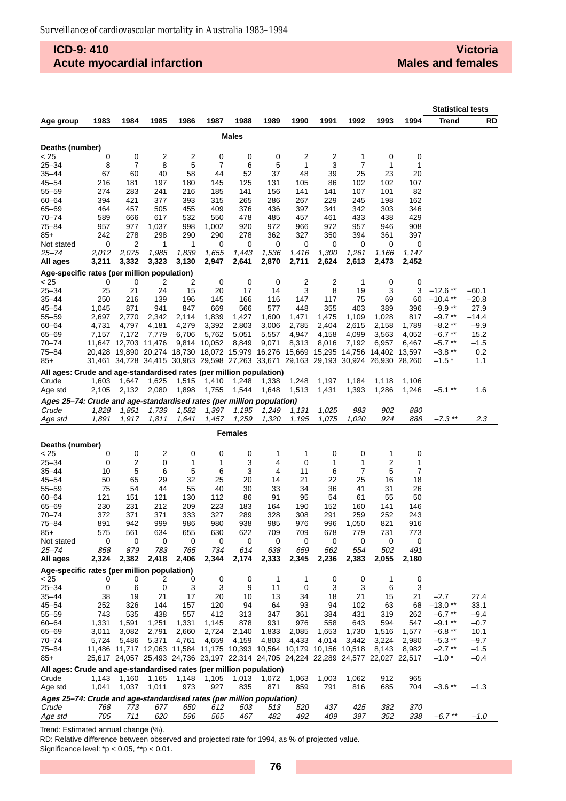## **ICD-9: 410 Acute myocardial infarction**

|                                                                                |                |                      |                                                                       |                |                |                |                |                |                |                |                                                                                     |                | <b>Statistical tests</b> |                  |
|--------------------------------------------------------------------------------|----------------|----------------------|-----------------------------------------------------------------------|----------------|----------------|----------------|----------------|----------------|----------------|----------------|-------------------------------------------------------------------------------------|----------------|--------------------------|------------------|
| Age group                                                                      | 1983           | 1984                 | 1985                                                                  | 1986           | 1987           | 1988           | 1989           | 1990           | 1991           | 1992           | 1993                                                                                | 1994           | <b>Trend</b>             | RD               |
|                                                                                |                |                      |                                                                       |                |                | <b>Males</b>   |                |                |                |                |                                                                                     |                |                          |                  |
| Deaths (number)                                                                |                |                      |                                                                       |                |                |                |                |                |                |                |                                                                                     |                |                          |                  |
| < 25                                                                           | 0              | 0                    | 2                                                                     | 2              | 0              | 0              | 0              | 2              | 2              | 1              | 0                                                                                   | 0              |                          |                  |
| 25–34                                                                          | 8              | 7                    | 8                                                                     | 5              | 7              | 6              | 5              | 1              | 3              | 7              | 1                                                                                   | 1              |                          |                  |
| 35–44                                                                          | 67             | 60                   | 40                                                                    | 58             | 44             | 52             | 37             | 48             | 39             | 25             | 23                                                                                  | 20             |                          |                  |
| 45–54                                                                          | 216            | 181                  | 197                                                                   | 180            | 145            | 125            | 131            | 105            | 86             | 102            | 102                                                                                 | 107            |                          |                  |
| 55-59                                                                          | 274            | 283                  | 241                                                                   | 216            | 185            | 141            | 156            | 141            | 141            | 107            | 101                                                                                 | 82             |                          |                  |
| 60-64                                                                          | 394            | 421                  | 377                                                                   | 393            | 315            | 265            | 286            | 267            | 229            | 245            | 198                                                                                 | 162            |                          |                  |
| 65-69                                                                          | 464            | 457                  | 505                                                                   | 455            | 409            | 376            | 436            | 397            | 341            | 342            | 303                                                                                 | 346            |                          |                  |
| 70-74                                                                          | 589            | 666                  | 617                                                                   | 532            | 550            | 478            | 485            | 457            | 461            | 433            | 438                                                                                 | 429            |                          |                  |
| 75–84                                                                          | 957            | 977                  | 1,037                                                                 | 998            | 1,002          | 920            | 972            | 966            | 972            | 957            | 946                                                                                 | 908            |                          |                  |
| 85+                                                                            | 242            | 278                  | 298                                                                   | 290            | 290            | 278            | 362            | 327            | 350            | 394            | 361                                                                                 | 397            |                          |                  |
| Not stated                                                                     | 0              | 2                    | 1                                                                     | 1              | 0              | 0              | 0              | 0              | 0              | 0              | 0                                                                                   | 0              |                          |                  |
| $25 - 74$                                                                      | 2,012          | 2,075                | 1,985                                                                 | 1,839          | 1,655          | 1,443          | 1,536          | 1,416          | 1,300          | 1,261          | 1,166                                                                               | 1,147          |                          |                  |
| All ages                                                                       | 3,211          | 3,332                | 3,323                                                                 | 3,130          | 2,947          | 2,641          | 2,870          | 2,711          | 2,624          | 2,613          | 2,473                                                                               | 2,452          |                          |                  |
| Age-specific rates (per million population)                                    |                |                      |                                                                       |                |                |                |                |                |                |                |                                                                                     |                |                          |                  |
| < 25<br>$25 - 34$                                                              | 0              | 0                    | 2                                                                     | 2              | 0              | 0              | 0              | 2              | 2              | 1              | 0                                                                                   | 0              |                          |                  |
|                                                                                | 25<br>250      | 21                   | 24                                                                    | 15             | 20             | 17             | 14             | 3<br>147       | 8              | 19<br>75       | 3<br>69                                                                             | 3              | $-12.6**$                | –60.1<br>$-20.8$ |
| $35 - 44$<br>$45 - 54$                                                         | 1,045          | 216<br>871           | 139<br>941                                                            | 196<br>847     | 145<br>669     | 166            | 116<br>577     | 448            | 117            | 403            |                                                                                     | 60             | $-10.4**$<br>$-9.9**$    | 27.9             |
| $55 - 59$                                                                      | 2,697          | 2,770                | 2,342                                                                 | 2,114          | 1,839          | 566<br>1,427   | 1,600          | 1,471          | 355<br>1,475   | 1,109          | 389<br>1,028                                                                        | 396<br>817     | $-9.7**$                 | –14.4            |
|                                                                                |                |                      |                                                                       |                |                | 2,803          |                |                |                |                |                                                                                     |                | $-8.2**$                 | $-9.9$           |
| 60-64<br>65-69                                                                 | 4,731<br>7,157 | 4,797<br>7,172       | 4,181<br>7,779                                                        | 4,279<br>6,706 | 3,392<br>5,762 | 5,051          | 3,006<br>5,557 | 2,785<br>4,947 | 2,404<br>4,158 | 2,615<br>4,099 | 2,158<br>3,563                                                                      | 1,789<br>4,052 | $-6.7**$                 | 15.2             |
| 70–74                                                                          |                | 11,647 12,703 11,476 |                                                                       |                | 9,814 10,052   | 8,849          | 9,071          | 8,313          | 8,016          | 7,192          | 6,957                                                                               | 6,467          | $-5.7**$                 | $-1.5$           |
| 75–84                                                                          |                |                      |                                                                       |                |                |                |                |                |                |                | 20,428 19,890 20,274 18,730 18,072 15,979 16,276 15,669 15,295 14,756 14,402 13,597 |                | $-3.8**$                 | 0.2              |
| 85+                                                                            |                |                      |                                                                       |                |                |                |                |                |                |                | 31,461 34,728 34,415 30,963 29,598 27,263 33,671 29,163 29,193 30,924 26,930 28,260 |                | $-1.5*$                  | 1.1              |
|                                                                                |                |                      |                                                                       |                |                |                |                |                |                |                |                                                                                     |                |                          |                  |
| All ages: Crude and age-standardised rates (per million population)<br>Crude   |                |                      |                                                                       |                |                |                |                |                |                |                |                                                                                     |                |                          |                  |
| Age std                                                                        | 1,603<br>2,105 | 1,647<br>2,132       | 1,625<br>2,080                                                        | 1,515<br>1,898 | 1,410<br>1,755 | 1,248<br>1,544 | 1,338<br>1,648 | 1,248<br>1,513 | 1,197<br>1,431 | 1,184<br>1,393 | 1,118<br>1,286                                                                      | 1,106<br>1,246 | $-5.1**$                 | 1.6              |
|                                                                                |                |                      |                                                                       |                |                |                |                |                |                |                |                                                                                     |                |                          |                  |
| Ages 25-74: Crude and age-standardised rates (per million population)<br>Crude | 1,828          | 1,851                | 1,739                                                                 | 1,582          | 1,397          | 1,195          |                | 1,131          | 1,025          | 983            | 902                                                                                 | 880            |                          |                  |
| Age std                                                                        | 1,891          | 1,917                | 1,811                                                                 | 1,641          | 1,457          | 1,259          | 1,249<br>1,320 | 1,195          | 1,075          | 1,020          | 924                                                                                 | 888            | $-7.3$ **                | 2.3              |
|                                                                                |                |                      |                                                                       |                |                |                |                |                |                |                |                                                                                     |                |                          |                  |
| <b>Females</b>                                                                 |                |                      |                                                                       |                |                |                |                |                |                |                |                                                                                     |                |                          |                  |
| Deaths (number)                                                                |                |                      |                                                                       |                |                |                |                |                |                |                |                                                                                     |                |                          |                  |
| < 25                                                                           | 0              | 0                    | 2                                                                     | 0              | 0              | 0              | 1              | 1              | 0              | 0              | 1                                                                                   | 0              |                          |                  |
| 25–34                                                                          | 0              | 2                    | 0                                                                     | 1              | 1              | 3              | 4              | 0              | 1              | 1              | 2                                                                                   | 1              |                          |                  |
| $35 - 44$                                                                      | 10             | 5                    | 6                                                                     | 5              | 6              | 3              | 4              | 11             | 6              | 7              | 5                                                                                   | 7              |                          |                  |
| 45–54                                                                          | 50             | 65                   | 29                                                                    | 32             | 25             | 20             | 14             | 21             | 22             | 25             | 16                                                                                  | 18             |                          |                  |
| 55-59                                                                          | 75             | 54                   | 44                                                                    | 55             | 40<br>112      | 30             | 33             | 34             | 36             | 41             | 31                                                                                  | 26             |                          |                  |
| $60 - 64$<br>65-69                                                             | 121<br>230     | 151<br>231           | 121<br>212                                                            | 130<br>209     | 223            | 86<br>183      | 91<br>164      | 95<br>190      | 54<br>152      | 61<br>160      | 55<br>141                                                                           | 50<br>146      |                          |                  |
| 70–74                                                                          | 372            | 371                  | 371                                                                   | 333            | 327            | 289            | 328            | 308            | 291            | 259            | 252                                                                                 | 243            |                          |                  |
| 75–84                                                                          | 891            | 942                  | 999                                                                   | 986            | 980            | 938            | 985            | 976            | 996            | 1,050          | 821                                                                                 | 916            |                          |                  |
| $85+$                                                                          | 575            | 561                  | 634                                                                   | 655            | 630            | 622            | 709            | 709            | 678            | 779            | 731                                                                                 | 773            |                          |                  |
| Not stated                                                                     | 0              | 0                    | 0                                                                     | 0              | 0              | 0              | 0              | 0              | 0              | 0              | 0                                                                                   | 0              |                          |                  |
| 25–74                                                                          | 858            | 879                  | 783                                                                   | 765            | 734            | 614            | 638            | 659            | 562            | 554            | 502                                                                                 | 491            |                          |                  |
| All ages                                                                       | 2,324          | 2,382                | 2,418                                                                 | 2,406          | 2,344          | 2,174          | 2,333          | 2,345          | 2,236          | 2,383          | 2,055                                                                               | 2,180          |                          |                  |
| Age-specific rates (per million population)                                    |                |                      |                                                                       |                |                |                |                |                |                |                |                                                                                     |                |                          |                  |
| < 25                                                                           | 0              | 0                    | 2                                                                     | 0              | 0              | 0              | 1              | 1              | 0              | 0              | 1                                                                                   | 0              |                          |                  |
| $25 - 34$                                                                      | 0              | 6                    | 0                                                                     | 3              | 3              | 9              | 11             | 0              | 3              | 3              | 6                                                                                   | 3              |                          |                  |
| $35 - 44$                                                                      | 38             | 19                   | 21                                                                    | 17             | 20             | 10             | 13             | 34             | 18             | 21             | 15                                                                                  | 21             | $-2.7$                   | 27.4             |
| $45 - 54$                                                                      | 252            | 326                  | 144                                                                   | 157            | 120            | 94             | 64             | 93             | 94             | 102            | 63                                                                                  | 68             | $-13.0**$                | 33.1             |
| $55 - 59$                                                                      | 743            | 535                  | 438                                                                   | 557            | 412            | 313            | 347            | 361            | 384            | 431            | 319                                                                                 | 262            | $-6.7$ **                | -9.4             |
| 60-64                                                                          | 1,331          | 1,591                | 1,251                                                                 | 1,331          | 1,145          | 878            | 931            | 976            | 558            | 643            | 594                                                                                 | 547            | $-9.1**$                 | $-0.7$           |
| 65-69                                                                          | 3,011          | 3,082                | 2,791                                                                 | 2,660          | 2,724          | 2,140          | 1,833          | 2,085          | 1,653          | 1,730          | 1,516                                                                               | 1,577          | $-6.8**$                 | 10.1             |
| 70–74                                                                          | 5,724          | 5,486                | 5,371                                                                 | 4,761          | 4,659          | 4,159          | 4,803          | 4,433          | 4,014          | 3,442          | 3,224                                                                               | 2,980          | $-5.3$ **                | $-9.7$           |
| $75 - 84$                                                                      |                |                      | 11,486 11,717 12,063 11,584 11,175 10,393 10,564 10,179 10,156 10,518 |                |                |                |                |                |                |                | 8,143                                                                               | 8,982          | $-2.7$ **<br>$-1.0*$     | $-1.5$           |
| 85+                                                                            |                |                      |                                                                       |                |                |                |                |                |                |                | 25,617 24,057 25,493 24,736 23,197 22,314 24,705 24,224 22,289 24,577 22,027 22,517 |                |                          | -0.4             |
| All ages: Crude and age-standardised rates (per million population)            |                |                      |                                                                       |                |                |                |                |                |                |                |                                                                                     |                |                          |                  |
| Crude                                                                          | 1,143          | 1,160                | 1,165                                                                 | 1,148          | 1,105          | 1,013          | 1,072          | 1,063          | 1,003          | 1,062          | 912                                                                                 | 965            |                          |                  |
| Age std                                                                        | 1,041          | 1,037                | 1,011                                                                 | 973            | 927            | 835            | 871            | 859            | 791            | 816            | 685                                                                                 | 704            | $-3.6**$                 | $-1.3$           |
| Ages 25-74: Crude and age-standardised rates (per million population)          |                |                      |                                                                       |                |                |                |                |                |                |                |                                                                                     |                |                          |                  |
| Crude                                                                          | 768<br>705     | 773<br>711           | 677<br>620                                                            | 650<br>596     | 612            | 503            | 513<br>482     | 520            | 437<br>409     | 425<br>397     | 382                                                                                 | 370<br>338     | $-6.7$ **                | $-1.0$           |
| Age std                                                                        |                |                      |                                                                       |                | 565            | 467            |                | 492            |                |                | 352                                                                                 |                |                          |                  |

Trend: Estimated annual change (%).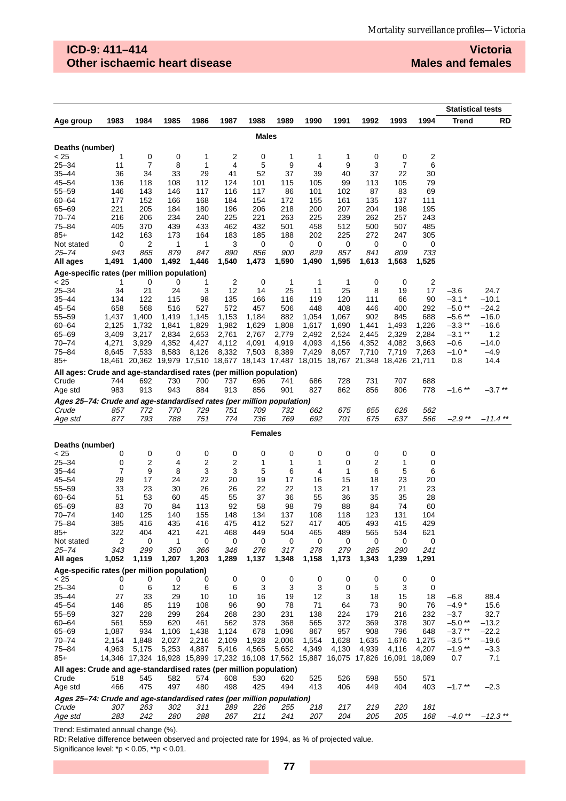## **ICD-9: 411–414 Other ischaemic heart disease**

**Victoria Males and females**

|                                                                              |                |                |                |                |                |                                                                              |                |                |                |                |                | <b>Statistical tests</b> |                       |              |
|------------------------------------------------------------------------------|----------------|----------------|----------------|----------------|----------------|------------------------------------------------------------------------------|----------------|----------------|----------------|----------------|----------------|--------------------------|-----------------------|--------------|
| Age group                                                                    | 1983           | 1984           | 1985           | 1986           | 1987           | 1988                                                                         | 1989           | 1990           | 1991           | 1992           | 1993           | 1994                     | <b>Trend</b>          | RD           |
|                                                                              |                |                |                |                |                | <b>Males</b>                                                                 |                |                |                |                |                |                          |                       |              |
|                                                                              |                |                |                |                |                |                                                                              |                |                |                |                |                |                          |                       |              |
| Deaths (number)<br>< 25                                                      | 1              | 0              | 0              | 1              | 2              | 0                                                                            | 1              | 1              | 1              | 0              | 0              | 2                        |                       |              |
| $25 - 34$                                                                    | 11             | 7              | 8              | 1              | 4              | 5                                                                            | 9              | 4              | 9              | 3              | 7              | 6                        |                       |              |
| 35–44                                                                        | 36             | 34             | 33             | 29             | 41             | 52                                                                           | 37             | 39             | 40             | 37             | 22             | 30                       |                       |              |
| $45 - 54$                                                                    | 136            | 118            | 108            | 112            | 124            | 101                                                                          | 115            | 105            | 99             | 113            | 105            | 79                       |                       |              |
| 55–59                                                                        | 146            | 143            | 146            | 117            | 116            | 117                                                                          | 86             | 101            | 102            | 87             | 83             | 69                       |                       |              |
| 60-64                                                                        | 177            | 152            | 166            | 168            | 184            | 154                                                                          | 172            | 155            | 161            | 135            | 137            | 111                      |                       |              |
| 65-69                                                                        | 221            | 205            | 184            | 180            | 196            | 206                                                                          | 218            | 200            | 207            | 204            | 198            | 195                      |                       |              |
| $70 - 74$                                                                    | 216            | 206            | 234            | 240            | 225            | 221                                                                          | 263            | 225            | 239            | 262            | 257            | 243                      |                       |              |
| 75–84                                                                        | 405            | 370            | 439            | 433            | 462            | 432                                                                          | 501            | 458            | 512            | 500            | 507            | 485                      |                       |              |
| $85+$                                                                        | 142            | 163            | 173            | 164            | 183            | 185                                                                          | 188            | 202            | 225            | 272            | 247            | 305                      |                       |              |
| Not stated                                                                   | 0              | 2              | 1              | 1              | 3              | 0                                                                            | 0              | 0              | 0              | 0              | 0              | 0                        |                       |              |
| 25–74                                                                        | 943            | 865            | 879            | 847            | 890            | 856                                                                          | 900            | 829            | 857            | 841            | 809            | 733                      |                       |              |
| All ages                                                                     | 1,491          | 1,400          | 1,492          | 1,446          | 1,540          | 1,473                                                                        | 1,590          | 1,490          | 1,595          | 1,613          | 1,563          | 1,525                    |                       |              |
| Age-specific rates (per million population)                                  |                |                |                |                |                |                                                                              |                |                |                |                |                |                          |                       |              |
| < 25                                                                         | 1              | 0              | 0              | 1              | $\overline{2}$ | 0                                                                            | 1              | $\mathbf{1}$   | 1              | 0              | 0              | 2                        |                       |              |
| $25 - 34$                                                                    | 34             | 21             | 24             | 3              | 12             | 14                                                                           | 25             | 11             | 25             | 8              | 19             | 17                       | -3.6                  | 24.7         |
| 35–44                                                                        | 134            | 122            | 115            | 98             | 135            | 166                                                                          | 116            | 119            | 120            | 111            | 66             | 90                       | $-3.1*$               | $-10.1$      |
| 45–54                                                                        | 658            | 568            | 516            | 527            | 572            | 457                                                                          | 506            | 448            | 408            | 446            | 400            | 292                      | $-5.0$ **             | $-24.2$      |
| $55 - 59$                                                                    | 1,437          | 1,400          | 1,419          | 1,145          | 1,153          | 1,184                                                                        | 882            | 1,054          | 1,067          | 902            | 845            | 688                      | $-5.6**$              | $-16.0$      |
| 60-64                                                                        | 2,125          | 1,732          | 1,841          | 1,829          | 1,982          | 1,629                                                                        | 1,808          | 1,617          | 1,690          | 1,441          | 1,493          | 1,226                    | $-3.3**$<br>$-3.1$ ** | –16.6        |
| 65-69<br>$70 - 74$                                                           | 3,409<br>4,271 | 3,217<br>3,929 | 2,834<br>4,352 | 2,653<br>4,427 | 2,761<br>4,112 | 2,767<br>4,091                                                               | 2,779<br>4,919 | 2,492<br>4,093 | 2,524<br>4,156 | 2,445<br>4,352 | 2,329<br>4,082 | 2,284<br>3,663           | $-0.6$                | 1.2<br>–14.0 |
| 75–84                                                                        | 8,645          | 7,533          | 8,583          | 8,126          | 8,332          | 7,503                                                                        | 8,389          | 7,429          | 8,057          | 7,710          | 7,719          | 7,263                    | $-1.0$ *              | $-4.9$       |
| $85+$                                                                        | 18,461         |                |                |                |                | 20,362 19,979 17,510 18,677 18,143 17,487 18,015 18,767 21,348               |                |                |                |                | 18,426 21,711  |                          | 0.8                   | 14.4         |
|                                                                              |                |                |                |                |                |                                                                              |                |                |                |                |                |                          |                       |              |
| All ages: Crude and age-standardised rates (per million population)<br>Crude |                |                |                |                |                |                                                                              |                |                | 728            | 731            | 707            | 688                      |                       |              |
| Age std                                                                      | 744<br>983     | 692<br>913     | 730<br>943     | 700<br>884     | 737<br>913     | 696<br>856                                                                   | 741<br>901     | 686<br>827     | 862            | 856            | 806            | 778                      | $-1.6$ **             | $-3.7**$     |
|                                                                              |                |                |                |                |                |                                                                              |                |                |                |                |                |                          |                       |              |
| Ages 25-74: Crude and age-standardised rates (per million population)        |                |                |                |                |                |                                                                              |                |                |                |                |                |                          |                       |              |
| Crude                                                                        | 857<br>877     | 772<br>793     | 770<br>788     | 729<br>751     | 751<br>774     | 709<br>736                                                                   | 732<br>769     | 662<br>692     | 675<br>701     | 655<br>675     | 626<br>637     | 562<br>566               | $-2.9**$              | -11.4 **     |
| Age std                                                                      |                |                |                |                |                |                                                                              |                |                |                |                |                |                          |                       |              |
|                                                                              | <b>Females</b> |                |                |                |                |                                                                              |                |                |                |                |                |                          |                       |              |
| Deaths (number)                                                              |                |                |                |                |                |                                                                              |                |                |                |                |                |                          |                       |              |
| < 25                                                                         | 0              | 0              | 0              | 0              | 0              | 0                                                                            | 0              | 0              | 0              | 0              | 0              | 0                        |                       |              |
| $25 - 34$                                                                    | 0              | 2              | 4              | 2              | 2              | 1                                                                            | 1              | 1              | 0              | 2              | 1              | 0                        |                       |              |
| 35–44                                                                        | 7              | 9              | 8              | 3              | 3              | 5                                                                            | 6              | 4              | 1              | 6              | 5              | 6                        |                       |              |
| $45 - 54$                                                                    | 29             | 17             | 24             | 22             | 20             | 19                                                                           | 17             | 16             | 15             | 18             | 23             | 20                       |                       |              |
| $55 - 59$                                                                    | 33             | 23             | 30             | 26             | 26             | 22                                                                           | 22             | 13             | 21             | 17             | 21             | 23                       |                       |              |
| $60 - 64$                                                                    | 51             | 53             | 60             | 45             | 55             | 37                                                                           | 36             | 55             | 36             | 35             | 35             | 28                       |                       |              |
| 65-69                                                                        | 83             | 70             | 84             | 113            | 92             | 58                                                                           | 98             | 79             | 88             | 84             | 74             | 60                       |                       |              |
| $70 - 74$                                                                    | 140            | 125            | 140            | 155            | 148            | 134                                                                          | 137            | 108            | 118            | 123            | 131            | 104                      |                       |              |
| 75-84<br>$85+$                                                               | 385<br>322     | 416<br>404     | 435<br>421     | 416<br>421     | 475<br>468     | 412<br>449                                                                   | 527<br>504     | 417<br>465     | 405<br>489     | 493<br>565     | 415<br>534     | 429<br>621               |                       |              |
| Not stated                                                                   | 2              | 0              | 1              | 0              | 0              | 0                                                                            | 0              | 0              | 0              | 0              | 0              | 0                        |                       |              |
| $25 - 74$                                                                    | 343            | 299            | 350            | 366            | 346            | 276                                                                          | 317            | 276            | 279            | 285            | 290            | 241                      |                       |              |
| All ages                                                                     | 1,052          | 1,119          | 1,207          | 1,203          | 1,289          | 1,137                                                                        | 1,348          | 1,158          | 1,173          | 1,343          | 1,239          | 1,291                    |                       |              |
| Age-specific rates (per million population)                                  |                |                |                |                |                |                                                                              |                |                |                |                |                |                          |                       |              |
| < 25                                                                         | 0              | 0              | 0              | 0              | 0              | 0                                                                            | 0              | $\mathbf 0$    | 0              | 0              | 0              | 0                        |                       |              |
| $25 - 34$                                                                    | 0              | 6              | 12             | 6              | 6              | 3                                                                            | 3              | 3              | 0              | 5              | 3              | 0                        |                       |              |
| $35 - 44$                                                                    | 27             | 33             | 29             | 10             | 10             | 16                                                                           | 19             | 12             | 3              | 18             | 15             | 18                       | $-6.8$                | 88.4         |
| $45 - 54$                                                                    | 146            | 85             | 119            | 108            | 96             | 90                                                                           | 78             | 71             | 64             | 73             | 90             | 76                       | $-4.9*$               | 15.6         |
| $55 - 59$                                                                    | 327            | 228            | 299            | 264            | 268            | 230                                                                          | 231            | 138            | 224            | 179            | 216            | 232                      | -3.7                  | 32.7         |
| $60 - 64$                                                                    | 561            | 559            | 620            | 461            | 562            | 378                                                                          | 368            | 565            | 372            | 369            | 378            | 307                      | $-5.0**$              | $-13.2$      |
| 65-69                                                                        | 1,087          | 934            | 1,106          | 1,438          | 1,124          | 678                                                                          | 1,096          | 867            | 957            | 908            | 796            | 648                      | $-3.7**$              | $-22.2$      |
| $70 - 74$                                                                    | 2,154          | 1,848          | 2,027          | 2,216          | 2,109          | 1,928                                                                        | 2,006          | 1,554          | 1,628          | 1,635          | 1,676          | 1,275                    | $-3.5**$              | $-19.6$      |
| $75 - 84$                                                                    | 4,963          | 5,175          | 5,253          | 4,887          | 5,416          | 4,565                                                                        | 5,652          | 4,349          | 4,130          | 4,939          | 4,116          | 4,207                    | $-1.9**$              | $-3.3$       |
| $85+$                                                                        |                |                |                |                |                | 14,346 17,324 16,928 15,899 17,232 16,108 17,562 15,887 16,075 17,826 16,091 |                |                |                |                |                | 18,089                   | 0.7                   | 7.1          |
| All ages: Crude and age-standardised rates (per million population)          |                |                |                |                |                |                                                                              |                |                |                |                |                |                          |                       |              |
| Crude                                                                        | 518            | 545            | 582            | 574            | 608            | 530                                                                          | 620            | 525            | 526            | 598            | 550            | 571                      |                       |              |
| Age std                                                                      | 466            | 475            | 497            | 480            | 498            | 425                                                                          | 494            | 413            | 406            | 449            | 404            | 403                      | $-1.7$ **             | $-2.3$       |
| Ages 25-74: Crude and age-standardised rates (per million population)        |                |                |                |                |                |                                                                              |                |                |                |                |                |                          |                       |              |
| Crude                                                                        | 307            | 263            | 302            | 311            | 289            | 226                                                                          | 255            | 218            | 217            | 219            | 220            | 181                      |                       |              |
| Age std                                                                      | 283            | 242            | 280            | 288            | 267            | 211                                                                          | 241            | 207            | 204            | 205            | 205            | 168                      | $-4.0$ **             | $-12.3$ **   |

Trend: Estimated annual change (%).

RD: Relative difference between observed and projected rate for 1994, as % of projected value.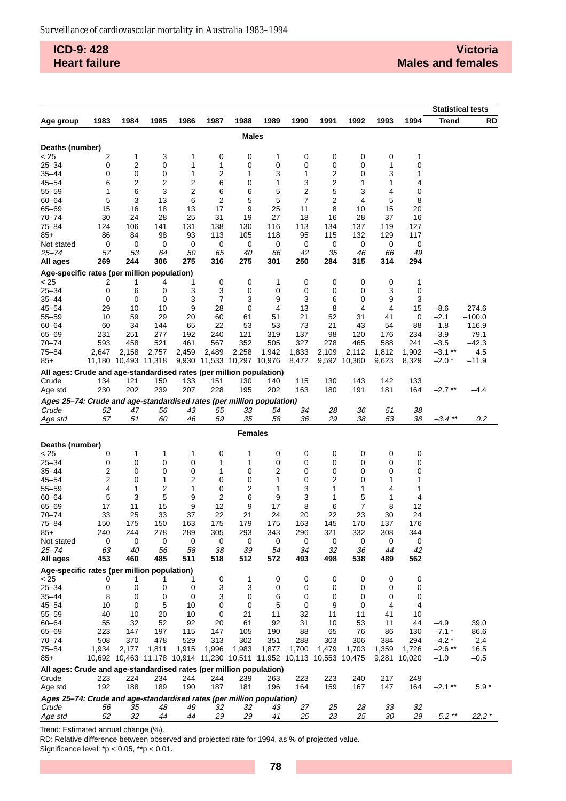**ICD-9: 428 Heart failure**

|                                                                       |        |                      |                                                                       |        |                            |                |                |        |        |              |        | <b>Statistical tests</b> |              |          |
|-----------------------------------------------------------------------|--------|----------------------|-----------------------------------------------------------------------|--------|----------------------------|----------------|----------------|--------|--------|--------------|--------|--------------------------|--------------|----------|
| Age group                                                             | 1983   | 1984                 | 1985                                                                  | 1986   | 1987                       | 1988           | 1989           | 1990   | 1991   | 1992         | 1993   | 1994                     | <b>Trend</b> | RD       |
|                                                                       |        |                      |                                                                       |        |                            | Males          |                |        |        |              |        |                          |              |          |
|                                                                       |        |                      |                                                                       |        |                            |                |                |        |        |              |        |                          |              |          |
| Deaths (number)                                                       |        |                      |                                                                       |        |                            |                |                |        |        |              |        |                          |              |          |
| < 25                                                                  | 2      | 1                    | 3                                                                     | 1      | 0                          | 0              | 1              | 0      | 0      | 0            | 0      | 1                        |              |          |
| $25 - 34$                                                             | 0      | 2                    | 0                                                                     | 1      | 1                          | 0              | 0              | 0      | 0      | 0            | 1      | 0                        |              |          |
| $35 - 44$<br>$45 - 54$                                                | 0<br>6 | 0<br>2               | 0<br>2                                                                | 1<br>2 | 2<br>6                     | 1<br>0         | 3<br>1         | 1<br>3 | 2<br>2 | 0<br>1       | 3<br>1 | 1<br>4                   |              |          |
| $55 - 59$                                                             | 1      | 6                    | 3                                                                     | 2      | 6                          | 6              | 5              | 2      | 5      | 3            | 4      | 0                        |              |          |
| $60 - 64$                                                             | 5      | 3                    | 13                                                                    | 6      | 2                          | 5              | 5              | 7      | 2      | 4            | 5      | 8                        |              |          |
| $65 - 69$                                                             | 15     | 16                   | 18                                                                    | 13     | 17                         | 9              | 25             | 11     | 8      | 10           | 15     | 20                       |              |          |
| $70 - 74$                                                             | 30     | 24                   | 28                                                                    | 25     | 31                         | 19             | 27             | 18     | 16     | 28           | 37     | 16                       |              |          |
| 75-84                                                                 | 124    | 106                  | 141                                                                   | 131    | 138                        | 130            | 116            | 113    | 134    | 137          | 119    | 127                      |              |          |
| $85+$                                                                 | 86     | 84                   | 98                                                                    | 93     | 113                        | 105            | 118            | 95     | 115    | 132          | 129    | 117                      |              |          |
| Not stated                                                            | 0      | 0                    | 0                                                                     | 0      | 0                          | 0              | 0              | 0      | 0      | 0            | 0      | 0                        |              |          |
| 25–74                                                                 | 57     | 53                   | 64                                                                    | 50     | 65                         | 40             | 66             | 42     | 35     | 46           | 66     | 49                       |              |          |
| All ages                                                              | 269    | 244                  | 306                                                                   | 275    | 316                        | 275            | 301            | 250    | 284    | 315          | 314    | 294                      |              |          |
| Age-specific rates (per million population)                           |        |                      |                                                                       |        |                            |                |                |        |        |              |        |                          |              |          |
| < 25                                                                  | 2      | 1                    | 4                                                                     | 1      | 0                          | 0              | 1              | 0      | 0      | 0            | 0      | 1                        |              |          |
| $25 - 34$                                                             | 0      | 6                    | 0                                                                     | 3      | 3                          | 0              | 0              | 0      | 0      | 0            | 3      | 0                        |              |          |
| 35–44                                                                 | 0      | 0                    | 0                                                                     | 3      | 7                          | 3              | 9              | 3      | 6      | 0            | 9      | 3                        |              |          |
| $45 - 54$                                                             | 29     | 10                   | 10                                                                    | 9      | 28                         | 0              | $\overline{4}$ | 13     | 8      | 4            | 4      | 15                       | $-8.6$       | 274.6    |
| $55 - 59$                                                             | 10     | 59                   | 29                                                                    | 20     | 60                         | 61             | 51             | 21     | 52     | 31           | 41     | 0                        | $-2.1$       | $-100.0$ |
| $60 - 64$                                                             | 60     | 34                   | 144                                                                   | 65     | 22                         | 53             | 53             | 73     | 21     | 43           | 54     | 88                       | $-1.8$       | 116.9    |
| $65 - 69$                                                             | 231    | 251                  | 277                                                                   | 192    | 240                        | 121            | 319            | 137    | 98     | 120          | 176    | 234                      | $-3.9$       | 79.1     |
| $70 - 74$                                                             | 593    | 458                  | 521                                                                   | 461    | 567                        | 352            | 505            | 327    | 278    | 465          | 588    | 241                      | $-3.5$       | $-42.3$  |
| 75-84                                                                 | 2,647  | 2,158                | 2,757                                                                 | 2,459  | 2,489                      | 2,258          | 1,942          | 1,833  | 2,109  | 2,112        | 1,812  | 1,902                    | $-3.1***$    | 4.5      |
| $85+$                                                                 |        | 11,180 10,493 11,318 |                                                                       |        | 9,930 11,533 10,297 10,976 |                |                | 8,472  |        | 9,592 10,360 | 9,623  | 8,329                    | $-2.0*$      | $-11.9$  |
| All ages: Crude and age-standardised rates (per million population)   |        |                      |                                                                       |        |                            |                |                |        |        |              |        |                          |              |          |
| Crude                                                                 | 134    | 121                  | 150                                                                   | 133    | 151                        | 130            | 140            | 115    | 130    | 143          | 142    | 133                      |              |          |
| Age std                                                               | 230    | 202                  | 239                                                                   | 207    | 228                        | 195            | 202            | 163    | 180    | 191          | 181    | 164                      | $-2.7**$     | -4.4     |
| Ages 25-74: Crude and age-standardised rates (per million population) |        |                      |                                                                       |        |                            |                |                |        |        |              |        |                          |              |          |
| Crude                                                                 | 52     | 47                   | 56                                                                    | 43     | 55                         | 33             | 54             | 34     | 28     | 36           | 51     | 38                       |              |          |
| Age std                                                               | 57     | 51                   | 60                                                                    | 46     | 59                         | 35             | 58             | 36     | 29     | 38           | 53     | 38                       | $-3.4$ **    | 0.2      |
|                                                                       |        |                      |                                                                       |        |                            |                |                |        |        |              |        |                          |              |          |
|                                                                       |        |                      |                                                                       |        |                            | <b>Females</b> |                |        |        |              |        |                          |              |          |
| Deaths (number)                                                       |        |                      |                                                                       |        |                            |                |                |        |        |              |        |                          |              |          |
| < 25                                                                  | 0      | 1                    | 1                                                                     | 1      | 0                          | 1              | 0              | 0      | 0      | 0            | 0      | 0                        |              |          |
| $25 - 34$                                                             | 0      | 0                    | 0                                                                     | 0      | 1                          | 1              | 0              | 0      | 0      | 0            | 0      | 0                        |              |          |
| $35 - 44$                                                             | 2      | 0                    | 0                                                                     | 0      | 1                          | 0              | 2              | 0      | 0      | 0            | 0      | 0                        |              |          |
| $45 - 54$<br>$55 - 59$                                                | 2<br>4 | 0<br>1               | 1<br>2                                                                | 2<br>1 | 0<br>0                     | 0<br>2         | 1<br>1         | 0<br>3 | 2<br>1 | 0<br>1       | 1<br>4 | 1<br>1                   |              |          |
| $60 - 64$                                                             | 5      | 3                    | 5                                                                     | 9      | 2                          | 6              | 9              | 3      | 1      | 5            | 1      | 4                        |              |          |
| 65-69                                                                 | 17     | 11                   | 15                                                                    | 9      | 12                         | 9              | 17             | 8      | 6      | 7            | 8      | 12                       |              |          |
| $70 - 74$                                                             | 33     | 25                   | 33                                                                    | 37     | 22                         | 21             | 24             | 20     | 22     | 23           | 30     | 24                       |              |          |
| 75-84                                                                 | 150    | 175                  | 150                                                                   | 163    | 175                        | 179            | 175            | 163    | 145    | 170          | 137    | 176                      |              |          |
| $85+$                                                                 | 240    | 244                  | 278                                                                   | 289    | 305                        | 293            | 343            | 296    | 321    | 332          | 308    | 344                      |              |          |
| Not stated                                                            | 0      | 0                    | 0                                                                     | 0      | 0                          | 0              | 0              | 0      | 0      | 0            | 0      | 0                        |              |          |
| $25 - 74$                                                             | 63     | 40                   | 56                                                                    | 58     | 38                         | 39             | 54             | 34     | 32     | 36           | 44     | 42                       |              |          |
| All ages                                                              | 453    | 460                  | 485                                                                   | 511    | 518                        | 512            | 572            | 493    | 498    | 538          | 489    | 562                      |              |          |
| Age-specific rates (per million population)                           |        |                      |                                                                       |        |                            |                |                |        |        |              |        |                          |              |          |
| < 25                                                                  | 0      | 1                    | 1                                                                     | 1      | 0                          | 1              | 0              | 0      | 0      | 0            | 0      | 0                        |              |          |
| $25 - 34$                                                             | 0      | 0                    | 0                                                                     | 0      | 3                          | 3              | 0              | 0      | 0      | 0            | 0      | 0                        |              |          |
| $35 - 44$                                                             | 8      | 0                    | 0                                                                     | 0      | 3                          | 0              | 6              | 0      | 0      | 0            | 0      | 0                        |              |          |
| $45 - 54$                                                             | 10     | 0                    | 5                                                                     | 10     | 0                          | 0              | 5              | 0      | 9      | 0            | 4      | 4                        |              |          |
| $55 - 59$                                                             | 40     | 10                   | 20                                                                    | 10     | 0                          | 21             | 11             | 32     | 11     | 11           | 41     | 10                       |              |          |
| $60 - 64$                                                             | 55     | 32                   | 52                                                                    | 92     | 20                         | 61             | 92             | 31     | 10     | 53           | 11     | 44                       | $-4.9$       | 39.0     |
| $65 - 69$                                                             | 223    | 147                  | 197                                                                   | 115    | 147                        | 105            | 190            | 88     | 65     | 76           | 86     | 130                      | $-7.1*$      | 86.6     |
| $70 - 74$                                                             | 508    | 370                  | 478                                                                   | 529    | 313                        | 302            | 351            | 288    | 303    | 306          | 384    | 294                      | $-4.2*$      | 2.4      |
| $75 - 84$                                                             | 1,934  | 2,177                | 1,811                                                                 | 1,915  | 1,996                      | 1,983          | 1,877          | 1,700  | 1,479  | 1,703        | 1,359  | 1,726                    | $-2.6$ **    | 16.5     |
| $85+$                                                                 |        |                      | 10,692 10,463 11,178 10,914 11,230 10,511 11,952 10,113 10,553 10,475 |        |                            |                |                |        |        |              | 9,281  | 10,020                   | $-1.0$       | $-0.5$   |
| All ages: Crude and age-standardised rates (per million population)   |        |                      |                                                                       |        |                            |                |                |        |        |              |        |                          |              |          |
| Crude                                                                 | 223    | 224                  | 234                                                                   | 244    | 244                        | 239            | 263            | 223    | 223    | 240          | 217    | 249                      |              |          |
| Age std                                                               | 192    | 188                  | 189                                                                   | 190    | 187                        | 181            | 196            | 164    | 159    | 167          | 147    | 164                      | $-2.1$ **    | $5.9*$   |
| Ages 25-74: Crude and age-standardised rates (per million population) |        |                      |                                                                       |        |                            |                |                |        |        |              |        |                          |              |          |
| Crude                                                                 | 56     | 35                   | 48                                                                    | 49     | 32                         | 32             | 43             | 27     | 25     | 28           | 33     | 32                       |              |          |
| Age std                                                               | 52     | 32                   | 44                                                                    | 44     | 29                         | 29             | 41             | 25     | 23     | 25           | 30     | 29                       | $-5.2$ **    | $22.2*$  |

Trend: Estimated annual change (%).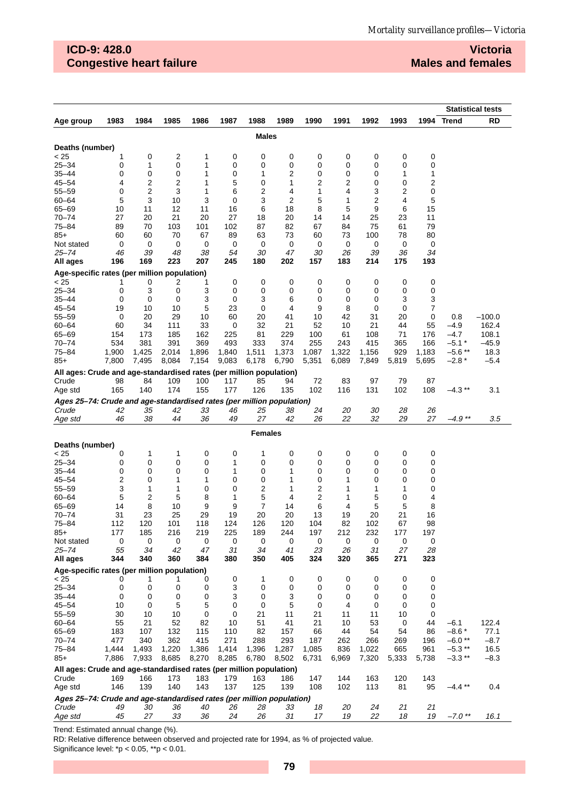# **ICD-9: 428.0 Congestive heart failure**

**Victoria Males and females**

|                                                                       |           |                |           |           |           |              |           |           |           |           |           |           |            | <b>Statistical tests</b> |
|-----------------------------------------------------------------------|-----------|----------------|-----------|-----------|-----------|--------------|-----------|-----------|-----------|-----------|-----------|-----------|------------|--------------------------|
| Age group                                                             | 1983      | 1984           | 1985      | 1986      | 1987      | 1988         | 1989      | 1990      | 1991      | 1992      | 1993      |           | 1994 Trend | <b>RD</b>                |
|                                                                       |           |                |           |           |           | <b>Males</b> |           |           |           |           |           |           |            |                          |
|                                                                       |           |                |           |           |           |              |           |           |           |           |           |           |            |                          |
| Deaths (number)<br>< 25                                               | 1         | 0              | 2         | 1         | 0         | 0            | 0         | 0         | 0         | 0         | 0         | 0         |            |                          |
| $25 - 34$                                                             | 0         | 1              | 0         | 1         | 0         | 0            | 0         | 0         | 0         | 0         | 0         | 0         |            |                          |
| 35–44                                                                 | 0         | 0              | 0         | 1         | 0         | 1            | 2         | 0         | 0         | 0         | 1         | 1         |            |                          |
| $45 - 54$                                                             | 4         | 2              | 2         | 1         | 5         | 0            | 1         | 2         | 2         | 0         | 0         | 2         |            |                          |
| 55-59                                                                 | 0         | $\overline{2}$ | 3         | 1         | 6         | 2            | 4         | 1         | 4         | 3         | 2         | 0         |            |                          |
| $60 - 64$                                                             | 5         | 3              | 10        | 3         | 0         | 3            | 2         | 5         | 1         | 2         | 4         | 5         |            |                          |
| 65-69                                                                 | 10        | 11             | 12        | 11        | 16        | 6            | 18        | 8         | 5         | 9         | 6         | 15        |            |                          |
| $70 - 74$                                                             | 27        | 20             | 21        | 20        | 27        | 18           | 20        | 14        | 14        | 25        | 23        | 11        |            |                          |
| 75-84                                                                 | 89        | 70             | 103       | 101       | 102       | 87           | 82        | 67        | 84        | 75        | 61        | 79        |            |                          |
| 85+                                                                   | 60        | 60             | 70        | 67        | 89        | 63           | 73        | 60        | 73        | 100       | 78        | 80        |            |                          |
| Not stated                                                            | 0         | 0              | 0         | 0         | 0         | 0            | 0         | 0         | 0         | 0         | 0         | 0         |            |                          |
| 25–74                                                                 | 46        | 39             | 48        | 38        | 54        | 30           | 47        | 30        | 26        | 39        | 36        | 34        |            |                          |
| All ages                                                              | 196       | 169            | 223       | 207       | 245       | 180          | 202       | 157       | 183       | 214       | 175       | 193       |            |                          |
| Age-specific rates (per million population)                           |           |                |           |           |           |              |           |           |           |           |           |           |            |                          |
| < 25                                                                  | 1         | 0              | 2         | 1         | 0         | 0            | 0         | 0         | 0         | 0         | 0         | 0         |            |                          |
| $25 - 34$                                                             | 0         | 3              | 0         | 3<br>3    | 0         | 0            | 0<br>6    | 0         | 0<br>0    | 0         | 0<br>3    | 0         |            |                          |
| 35–44<br>$45 - 54$                                                    | 0<br>19   | 0<br>10        | 0<br>10   | 5         | 0<br>23   | 3<br>0       | 4         | 0<br>9    | 8         | 0<br>0    | 0         | 3<br>7    |            |                          |
| 55-59                                                                 | 0         | 20             | 29        | 10        | 60        | 20           | 41        | 10        | 42        | 31        | 20        | 0         | 0.8        | $-100.0$                 |
| $60 - 64$                                                             | 60        | 34             | 111       | 33        | 0         | 32           | 21        | 52        | 10        | 21        | 44        | 55        | -4.9       | 162.4                    |
| 65-69                                                                 | 154       | 173            | 185       | 162       | 225       | 81           | 229       | 100       | 61        | 108       | 71        | 176       | -4.7       | 108.1                    |
| $70 - 74$                                                             | 534       | 381            | 391       | 369       | 493       | 333          | 374       | 255       | 243       | 415       | 365       | 166       | $-5.1$ *   | –45.9                    |
| $75 - 84$                                                             | 1,900     | 1,425          | 2,014     | 1,896     | 1,840     | 1,511        | 1,373     | 1,087     | 1,322     | 1,156     | 929       | 1,183     | $-5.6**$   | 18.3                     |
| 85+                                                                   | 7,800     | 7,495          | 8,084     | 7,154     | 9,083     | 6,178        | 6,790     | 5,351     | 6,089     | 7,849     | 5,819     | 5,695     | $-2.8*$    | $-5.4$                   |
| All ages: Crude and age-standardised rates (per million population)   |           |                |           |           |           |              |           |           |           |           |           |           |            |                          |
| Crude                                                                 | 98        | 84             | 109       | 100       | 117       | 85           | 94        | 72        | 83        | 97        | 79        | 87        |            |                          |
| Age std                                                               | 165       | 140            | 174       | 155       | 177       | 126          | 135       | 102       | 116       | 131       | 102       | 108       | -4.3 **    | 3.1                      |
| Ages 25-74: Crude and age-standardised rates (per million population) |           |                |           |           |           |              |           |           |           |           |           |           |            |                          |
| Crude                                                                 | 42        | 35             | 42        | 33        | 46        | 25           | 38        | 24        | 20        | 30        | 28        | 26        |            |                          |
| Age std                                                               | 46        | 38             | 44        | 36        | 49        | 27           | 42        | 26        | 22        | 32        | 29        | 27        | $-4.9**$   | 3.5                      |
| <b>Females</b>                                                        |           |                |           |           |           |              |           |           |           |           |           |           |            |                          |
|                                                                       |           |                |           |           |           |              |           |           |           |           |           |           |            |                          |
| Deaths (number)<br>< 25                                               |           |                |           |           |           | 1            |           |           |           |           |           |           |            |                          |
| $25 - 34$                                                             | 0<br>0    | 1<br>0         | 1<br>0    | 0<br>0    | 0<br>1    | 0            | 0<br>0    | 0<br>0    | 0<br>0    | 0<br>0    | 0<br>0    | 0<br>0    |            |                          |
| 35–44                                                                 | 0         | 0              | 0         | 0         | 1         | 0            | 1         | 0         | 0         | 0         | 0         | 0         |            |                          |
| $45 - 54$                                                             | 2         | 0              | 1         | 1         | 0         | 0            | 1         | 0         | 1         | 0         | 0         | 0         |            |                          |
| $55 - 59$                                                             | 3         | 1              | 1         | 0         | 0         | 2            | 1         | 2         | 1         | 1         | 1         | 0         |            |                          |
| $60 - 64$                                                             | 5         | $\overline{2}$ | 5         | 8         | 1         | 5            | 4         | 2         | 1         | 5         | 0         | 4         |            |                          |
| 65-69                                                                 | 14        | 8              | 10        | 9         | 9         | 7            | 14        | 6         | 4         | 5         | 5         | 8         |            |                          |
| 70-74                                                                 | 31        | 23             | 25        | 29        | 19        | 20           | 20        | 13        | 19        | 20        | 21        | 16        |            |                          |
| 75-84                                                                 | 112       | 120            | 101       | 118       | 124       | 126          | 120       | 104       | 82        | 102       | 67        | 98        |            |                          |
| $85+$                                                                 | 177       | 185            | 216       | 219       | 225       | 189          | 244       | 197       | 212       | 232       | 177       | 197       |            |                          |
| Not stated                                                            | 0         | 0              | 0         | 0         | 0         | 0            | 0         | 0         | 0         | 0         | 0         | 0         |            |                          |
| $25 - 74$<br>All ages                                                 | 55<br>344 | 34<br>340      | 42<br>360 | 47<br>384 | 31<br>380 | 34<br>350    | 41<br>405 | 23<br>324 | 26<br>320 | 31<br>365 | 27<br>271 | 28<br>323 |            |                          |
|                                                                       |           |                |           |           |           |              |           |           |           |           |           |           |            |                          |
| Age-specific rates (per million population)                           |           |                |           |           |           |              |           |           |           |           |           |           |            |                          |
| < 25<br>$25 - 34$                                                     | 0<br>0    | 1<br>0         | 1<br>0    | 0<br>0    | 0<br>3    | 1<br>0       | 0<br>0    | 0<br>0    | 0<br>0    | 0<br>0    | 0<br>0    | 0<br>0    |            |                          |
| $35 - 44$                                                             | 0         | 0              | 0         | 0         | 3         | 0            | 3         | 0         | 0         | 0         | 0         | 0         |            |                          |
| $45 - 54$                                                             | 10        | 0              | 5         | 5         | 0         | 0            | 5         | 0         | 4         | 0         | 0         | 0         |            |                          |
| 55-59                                                                 | 30        | 10             | 10        | 0         | 0         | 21           | 11        | 21        | 11        | 11        | 10        | 0         |            |                          |
| $60 - 64$                                                             | 55        | 21             | 52        | 82        | 10        | 51           | 41        | 21        | 10        | 53        | 0         | 44        | $-6.1$     | 122.4                    |
| 65-69                                                                 | 183       | 107            | 132       | 115       | 110       | 82           | 157       | 66        | 44        | 54        | 54        | 86        | $-8.6*$    | 77.1                     |
| $70 - 74$                                                             | 477       | 340            | 362       | 415       | 271       | 288          | 293       | 187       | 262       | 266       | 269       | 196       | $-6.0**$   | $-8.7$                   |
| 75–84                                                                 | 1,444     | 1,493          | 1,220     | 1,386     | 1,414     | 1,396        | 1,287     | 1,085     | 836       | 1,022     | 665       | 961       | $-5.3**$   | 16.5                     |
| $85+$                                                                 | 7,886     | 7,933          | 8,685     | 8,270     | 8,285     | 6,780        | 8,502     | 6,731     | 6,969     | 7,320     | 5,333     | 5,738     | $-3.3**$   | $-8.3$                   |
| All ages: Crude and age-standardised rates (per million population)   |           |                |           |           |           |              |           |           |           |           |           |           |            |                          |
| Crude                                                                 | 169       | 166            | 173       | 183       | 179       | 163          | 186       | 147       | 144       | 163       | 120       | 143       |            |                          |
| Age std                                                               | 146       | 139            | 140       | 143       | 137       | 125          | 139       | 108       | 102       | 113       | 81        | 95        | $-4.4$ **  | 0.4                      |
| Ages 25-74: Crude and age-standardised rates (per million population) |           |                |           |           |           |              |           |           |           |           |           |           |            |                          |
| Crude                                                                 | 49        | 30             | 36        | 40        | 26        | 28           | 33        | 18        | 20        | 24        | 21        | 21        |            |                          |
| Age std                                                               | 45        | 27             | 33        | 36        | 24        | 26           | 31        | 17        | 19        | 22        | 18        | 19        | $-7.0$ **  | 16.1                     |

Trend: Estimated annual change (%).

RD: Relative difference between observed and projected rate for 1994, as % of projected value.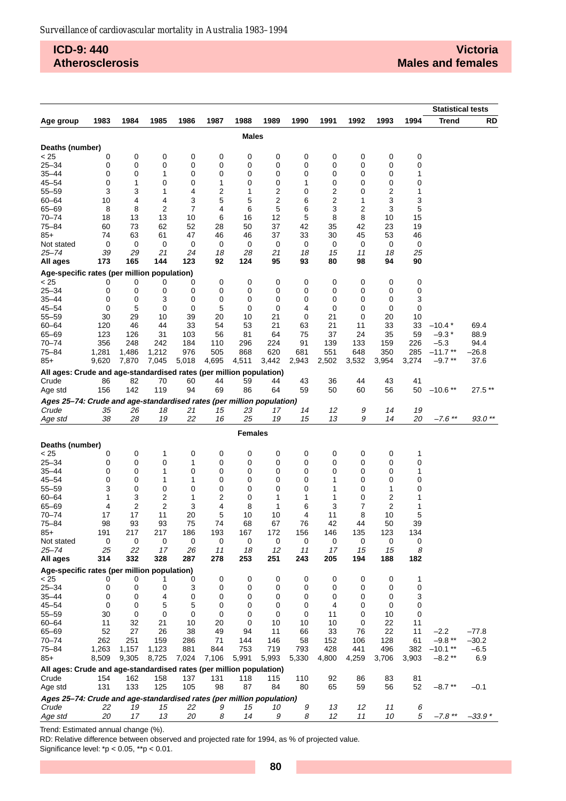## **ICD-9: 440 Atherosclerosis**

|                                                                       |                  |             |                      |             |           |                  |                |           |           |           |                |          | <b>Statistical tests</b> |                    |
|-----------------------------------------------------------------------|------------------|-------------|----------------------|-------------|-----------|------------------|----------------|-----------|-----------|-----------|----------------|----------|--------------------------|--------------------|
| Age group                                                             | 1983             | 1984        | 1985                 | 1986        | 1987      | 1988             | 1989           | 1990      | 1991      | 1992      | 1993           | 1994     | <b>Trend</b>             | RD                 |
|                                                                       |                  |             |                      |             |           | <b>Males</b>     |                |           |           |           |                |          |                          |                    |
| Deaths (number)                                                       |                  |             |                      |             |           |                  |                |           |           |           |                |          |                          |                    |
| < 25                                                                  | 0                | 0           | 0                    | 0           | 0         | 0                | 0              | 0         | 0         | 0         | 0              | 0        |                          |                    |
| $25 - 34$                                                             | 0                | 0           | 0                    | $\mathbf 0$ | 0         | 0                | 0              | 0         | 0         | 0         | 0              | 0        |                          |                    |
| $35 - 44$                                                             | 0                | $\mathbf 0$ | 1                    | 0           | 0         | 0                | 0              | 0         | 0         | 0         | 0              | 1        |                          |                    |
| $45 - 54$                                                             | $\mathbf 0$      | 1           | 0                    | 0           | 1         | 0                | 0              | 1         | 0         | 0         | 0              | 0        |                          |                    |
| $55 - 59$                                                             | 3                | 3           | 1                    | 4           | 2         | 1                | 2              | 0         | 2         | 0         | 2              | 1        |                          |                    |
| $60 - 64$                                                             | 10               | 4           | 4                    | 3           | 5         | 5                | $\overline{c}$ | 6         | 2         | 1         | 3              | 3        |                          |                    |
| 65-69<br>$70 - 74$                                                    | 8<br>18          | 8<br>13     | $\overline{c}$<br>13 | 7<br>10     | 4<br>6    | 6<br>16          | 5<br>12        | 6<br>5    | 3<br>8    | 2<br>8    | 3<br>10        | 5<br>15  |                          |                    |
| 75-84                                                                 | 60               | 73          | 62                   | 52          | 28        | 50               | 37             | 42        | 35        | 42        | 23             | 19       |                          |                    |
| 85+                                                                   | 74               | 63          | 61                   | 47          | 46        | 46               | 37             | 33        | 30        | 45        | 53             | 46       |                          |                    |
| Not stated                                                            | 0                | $\mathbf 0$ | 0                    | 0           | 0         | 0                | 0              | 0         | 0         | 0         | 0              | 0        |                          |                    |
| 25–74                                                                 | 39               | 29          | 21                   | 24          | 18        | 28               | 21             | 18        | 15        | 11        | 18             | 25       |                          |                    |
| All ages                                                              | 173              | 165         | 144                  | 123         | 92        | 124              | 95             | 93        | 80        | 98        | 94             | 90       |                          |                    |
| Age-specific rates (per million population)                           |                  |             |                      |             |           |                  |                |           |           |           |                |          |                          |                    |
| < 25                                                                  | 0                | 0           | 0                    | 0           | 0         | 0                | 0              | 0         | 0         | 0         | 0              | 0        |                          |                    |
| $25 - 34$                                                             | 0                | 0           | 0                    | 0           | 0         | 0                | 0              | 0         | 0         | 0         | 0              | 0        |                          |                    |
| $35 - 44$<br>$45 - 54$                                                | 0<br>$\mathbf 0$ | 0<br>5      | 3<br>0               | 0<br>0      | 0<br>5    | 0<br>0           | 0<br>0         | 0<br>4    | 0<br>0    | 0<br>0    | 0<br>0         | 3<br>0   |                          |                    |
| $55 - 59$                                                             | 30               | 29          | 10                   | 39          | 20        | 10               | 21             | 0         | 21        | 0         | 20             | 10       |                          |                    |
| $60 - 64$                                                             | 120              | 46          | 44                   | 33          | 54        | 53               | 21             | 63        | 21        | 11        | 33             | 33       | $-10.4*$                 | 69.4               |
| 65-69                                                                 | 123              | 126         | 31                   | 103         | 56        | 81               | 64             | 75        | 37        | 24        | 35             | 59       | $-9.3*$                  | 88.9               |
| $70 - 74$                                                             | 356              | 248         | 242                  | 184         | 110       | 296              | 224            | 91        | 139       | 133       | 159            | 226      | $-5.3$                   | 94.4               |
| $75 - 84$                                                             | 1,281            | 1,486       | 1,212                | 976         | 505       | 868              | 620            | 681       | 551       | 648       | 350            | 285      | $-11.7**$                | $-26.8$            |
| 85+                                                                   | 9,620            | 7,870       | 7,045                | 5,018       | 4,695     | 4,511            | 3,442          | 2,943     | 2,502     | 3,532     | 3,954          | 3,274    | $-9.7**$                 | 37.6               |
| All ages: Crude and age-standardised rates (per million population)   |                  |             |                      |             |           |                  |                |           |           |           |                |          |                          |                    |
| Crude                                                                 | 86               | 82          | 70                   | 60          | 44        | 59               | 44             | 43        | 36        | 44        | 43             | 41       |                          |                    |
| Age std                                                               | 156              | 142         | 119                  | 94          | 69        | 86               | 64             | 59        | 50        | 60        | 56             | 50       | $-10.6**$                | 27.5**             |
| Ages 25-74: Crude and age-standardised rates (per million population) |                  |             |                      |             |           |                  |                |           |           |           |                |          |                          |                    |
| Crude                                                                 | 35<br>38         | 26<br>28    | 18<br>19             | 21<br>22    | 15<br>16  | 23<br>25         | 17<br>19       | 14<br>15  | 12<br>13  | 9<br>9    | 14<br>14       | 19<br>20 | $-7.6$ **                | $93.0**$           |
| Age std                                                               |                  |             |                      |             |           |                  |                |           |           |           |                |          |                          |                    |
|                                                                       |                  |             |                      |             |           | <b>Females</b>   |                |           |           |           |                |          |                          |                    |
| Deaths (number)                                                       |                  |             |                      |             |           |                  |                |           |           |           |                |          |                          |                    |
| < 25                                                                  | 0                | 0           | 1                    | 0           | 0         | 0                | 0              | 0         | 0         | 0         | 0              | 1        |                          |                    |
| $25 - 34$                                                             | 0                | 0           | 0                    | 1<br>0      | 0         | 0<br>$\mathbf 0$ | 0              | 0<br>0    | 0         | 0         | 0<br>0         | 0        |                          |                    |
| 35–44<br>$45 - 54$                                                    | 0<br>$\mathbf 0$ | 0<br>0      | 1<br>1               | 1           | 0<br>0    | 0                | 0<br>0         | 0         | 0<br>1    | 0<br>0    | 0              | 1<br>0   |                          |                    |
| $55 - 59$                                                             | 3                | 0           | 0                    | 0           | 0         | 0                | $\mathbf 0$    | 0         | 1         | 0         | 1              | 0        |                          |                    |
| $60 - 64$                                                             | 1                | 3           | 2                    | 1           | 2         | 0                | 1              | 1         | 1         | 0         | $\overline{2}$ | 1        |                          |                    |
| 65-69                                                                 | 4                | 2           | $\overline{2}$       | 3           | 4         | 8                | 1              | 6         | 3         | 7         | 2              | 1        |                          |                    |
| $70 - 74$                                                             | 17               | 17          | 11                   | 20          | 5         | 10               | 10             | 4         | 11        | 8         | 10             | 5        |                          |                    |
| $75 - 84$                                                             | 98               | 93          | 93                   | 75          | 74        | 68               | 67             | 76        | 42        | 44        | 50             | 39       |                          |                    |
| 85+                                                                   | 191              | 217         | 217                  | 186         | 193       | 167              | 172            | 156       | 146       | 135       | 123            | 134      |                          |                    |
| Not stated                                                            | 0                | 0           | 0                    | 0           | 0         | 0                | 0              | 0         | 0         | 0         | 0              | 0        |                          |                    |
| $25 - 74$<br>All ages                                                 | 25<br>314        | 22<br>332   | 17<br>328            | 26<br>287   | 11<br>278 | 18<br>253        | 12<br>251      | 11<br>243 | 17<br>205 | 15<br>194 | 15<br>188      | 8<br>182 |                          |                    |
| Age-specific rates (per million population)                           |                  |             |                      |             |           |                  |                |           |           |           |                |          |                          |                    |
| < 25                                                                  | 0                | 0           | 1                    | 0           | 0         | 0                | 0              | 0         | 0         | 0         | 0              | 1        |                          |                    |
| $25 - 34$                                                             | 0                | 0           | 0                    | 3           | 0         | 0                | 0              | 0         | 0         | 0         | 0              | 0        |                          |                    |
| $35 - 44$                                                             | 0                | 0           | 4                    | 0           | 0         | 0                | 0              | 0         | 0         | 0         | 0              | 3        |                          |                    |
| $45 - 54$                                                             | 0                | 0           | 5                    | 5           | 0         | 0                | $\mathbf 0$    | 0         | 4         | 0         | 0              | 0        |                          |                    |
| $55 - 59$                                                             | 30               | 0           | 0                    | 0           | 0         | 0                | 0              | 0         | 11        | 0         | 10             | 0        |                          |                    |
| $60 - 64$                                                             | 11               | 32          | 21                   | 10          | 20        | 0                | 10             | 10        | 10        | 0         | 22             | 11       |                          |                    |
| 65-69<br>$70 - 74$                                                    | 52<br>262        | 27<br>251   | 26<br>159            | 38<br>286   | 49<br>71  | 94<br>144        | 11<br>146      | 66<br>58  | 33<br>152 | 76<br>106 | 22<br>128      | 11<br>61 | $-2.2$<br>$-9.8**$       | $-77.8$<br>$-30.2$ |
| 75-84                                                                 | 1,263            | 1,157       | 1,123                | 881         | 844       | 753              | 719            | 793       | 428       | 441       | 496            | 382      | $-10.1**$                | $-6.5$             |
| 85+                                                                   | 8,509            | 9,305       | 8,725                | 7,024       | 7,106     | 5,991            | 5,993          | 5,330     | 4,800     | 4,259     | 3,706          | 3,903    | $-8.2**$                 | 6.9                |
| All ages: Crude and age-standardised rates (per million population)   |                  |             |                      |             |           |                  |                |           |           |           |                |          |                          |                    |
| Crude                                                                 | 154              | 162         | 158                  | 137         | 131       | 118              | 115            | 110       | 92        | 86        | 83             | 81       |                          |                    |
| Age std                                                               | 131              | 133         | 125                  | 105         | 98        | 87               | 84             | 80        | 65        | 59        | 56             | 52       | $-8.7**$                 | $-0.1$             |
| Ages 25-74: Crude and age-standardised rates (per million population) |                  |             |                      |             |           |                  |                |           |           |           |                |          |                          |                    |
| Crude                                                                 | 22               | 19          | 15                   | 22          | 9         | 15               | 10             | 9         | 13        | 12        | 11             | 6        |                          |                    |
| Age std                                                               | 20               | 17          | 13                   | 20          | 8         | 14               | 9              | 8         | 12        | 11        | 10             | 5        | $-7.8$ **                | $-33.9*$           |

Trend: Estimated annual change (%).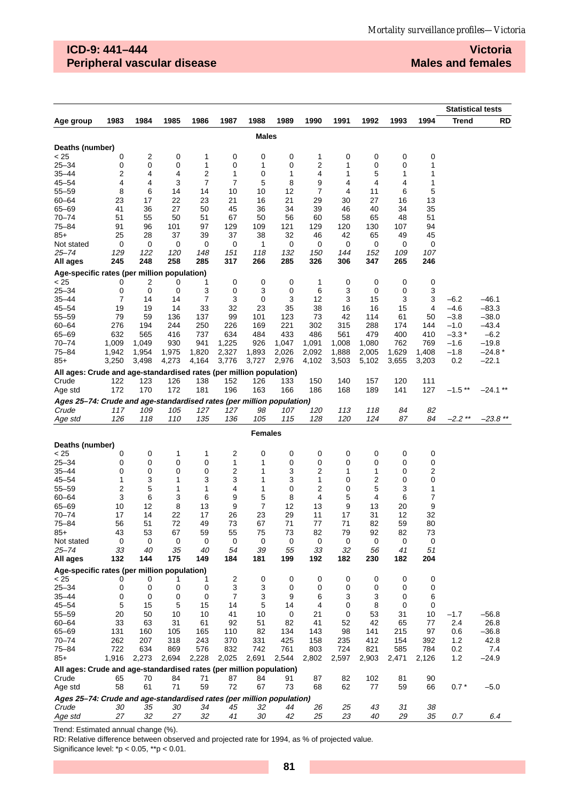## **ICD-9: 441–444 Peripheral vascular disease**

**Victoria Males and females**

|                                                                              |              |              |              |              |              |                |              |              |              |              |              | <b>Statistical tests</b> |                  |                    |
|------------------------------------------------------------------------------|--------------|--------------|--------------|--------------|--------------|----------------|--------------|--------------|--------------|--------------|--------------|--------------------------|------------------|--------------------|
| Age group                                                                    | 1983         | 1984         | 1985         | 1986         | 1987         | 1988           | 1989         | 1990         | 1991         | 1992         | 1993         | 1994                     | <b>Trend</b>     | RD                 |
|                                                                              |              |              |              |              |              | <b>Males</b>   |              |              |              |              |              |                          |                  |                    |
| Deaths (number)                                                              |              |              |              |              |              |                |              |              |              |              |              |                          |                  |                    |
| < 25                                                                         | 0            | 2            | 0            | 1            | 0            | 0              | 0            | 1            | 0            | 0            | 0            | 0                        |                  |                    |
| $25 - 34$                                                                    | 0            | 0            | 0            | 1            | 0            | 1              | 0            | 2            | 1            | 0            | 0            | 1                        |                  |                    |
| 35–44                                                                        | 2            | 4            | 4            | 2            | 1            | 0              | 1            | 4            | 1            | 5            | 1            | 1                        |                  |                    |
| $45 - 54$                                                                    | 4            | 4            | 3            | 7            | 7            | 5              | 8            | 9            | 4            | 4            | 4            | 1                        |                  |                    |
| 55–59                                                                        | 8            | 6            | 14           | 14           | 10           | 10             | 12           | 7            | 4            | 11           | 6            | 5                        |                  |                    |
| 60-64                                                                        | 23           | 17           | 22           | 23           | 21           | 16             | 21           | 29           | 30           | 27           | 16           | 13                       |                  |                    |
| 65-69<br>$70 - 74$                                                           | 41<br>51     | 36<br>55     | 27<br>50     | 50<br>51     | 45<br>67     | 36<br>50       | 34           | 39<br>60     | 46<br>58     | 40<br>65     | 34<br>48     | 35<br>51                 |                  |                    |
| 75–84                                                                        | 91           | 96           | 101          | 97           | 129          | 109            | 56<br>121    | 129          | 120          | 130          | 107          | 94                       |                  |                    |
| $85+$                                                                        | 25           | 28           | 37           | 39           | 37           | 38             | 32           | 46           | 42           | 65           | 49           | 45                       |                  |                    |
| Not stated                                                                   | 0            | 0            | 0            | 0            | 0            | 1              | 0            | 0            | 0            | 0            | 0            | 0                        |                  |                    |
| 25–74                                                                        | 129          | 122          | 120          | 148          | 151          | 118            | 132          | 150          | 144          | 152          | 109          | 107                      |                  |                    |
| All ages                                                                     | 245          | 248          | 258          | 285          | 317          | 266            | 285          | 326          | 306          | 347          | 265          | 246                      |                  |                    |
| Age-specific rates (per million population)                                  |              |              |              |              |              |                |              |              |              |              |              |                          |                  |                    |
| < 25                                                                         | 0            | 2            | 0            | 1            | 0            | 0              | 0            | 1            | 0            | 0            | 0            | 0                        |                  |                    |
| $25 - 34$                                                                    | 0            | 0            | 0            | 3            | 0            | 3              | 0            | 6            | 3            | 0            | 0            | 3                        |                  |                    |
| 35–44<br>$45 - 54$                                                           | 7            | 14           | 14           | 7<br>33      | 3<br>32      | 0<br>23        | 3            | 12           | 3            | 15           | 3            | 3                        | $-6.2$<br>$-4.6$ | $-46.1$<br>$-83.3$ |
| $55 - 59$                                                                    | 19<br>79     | 19<br>59     | 14<br>136    | 137          | 99           | 101            | 35<br>123    | 38<br>73     | 16<br>42     | 16<br>114    | 15<br>61     | 4<br>50                  | $-3.8$           | $-38.0$            |
| $60 - 64$                                                                    | 276          | 194          | 244          | 250          | 226          | 169            | 221          | 302          | 315          | 288          | 174          | 144                      | $-1.0$           | $-43.4$            |
| 65-69                                                                        | 632          | 565          | 416          | 737          | 634          | 484            | 433          | 486          | 561          | 479          | 400          | 410                      | $-3.3*$          | $-6.2$             |
| $70 - 74$                                                                    | 1,009        | 1,049        | 930          | 941          | 1,225        | 926            | 1,047        | 1,091        | 1,008        | 1,080        | 762          | 769                      | -1.6             | $-19.8$            |
| 75–84                                                                        | 1,942        | 1,954        | 1,975        | 1,820        | 2,327        | 1,893          | 2,026        | 2,092        | 1,888        | 2,005        | 1,629        | 1,408                    | $-1.8$           | $-24.8*$           |
| $85+$                                                                        | 3,250        | 3,498        | 4,273        | 4,164        | 3,776        | 3,727          | 2,976        | 4,102        | 3,503        | 5,102        | 3,655        | 3,203                    | 0.2              | $-22.1$            |
| All ages: Crude and age-standardised rates (per million population)          |              |              |              |              |              |                |              |              |              |              |              |                          |                  |                    |
| Crude                                                                        | 122          | 123          | 126          | 138          | 152          | 126            | 133          | 150          | 140          | 157          | 120          | 111                      |                  |                    |
| Age std                                                                      | 172          | 170          | 172          | 181          | 196          | 163            | 166          | 186          | 168          | 189          | 141          | 127                      | $-1.5**$         | $-24.1$ **         |
| Ages 25-74: Crude and age-standardised rates (per million population)        |              |              |              |              |              |                |              |              |              |              |              |                          |                  |                    |
| Crude                                                                        | 117          | 109          | 105          | 127          | 127          | 98             | 107          | 120          | 113          | 118          | 84           | 82                       | $-2.2**$         |                    |
| Age std                                                                      | 126          | 118          | 110          | 135          | 136          | 105            | 115          | 128          | 120          | 124          | 87           | 84                       |                  | –23.8 **           |
|                                                                              |              |              |              |              |              | <b>Females</b> |              |              |              |              |              |                          |                  |                    |
| Deaths (number)                                                              |              |              |              |              |              |                |              |              |              |              |              |                          |                  |                    |
| < 25                                                                         | 0            | 0            | 1            | 1            | 2            | 0              | 0            | 0            | 0            | 0            | 0            | 0                        |                  |                    |
| $25 - 34$                                                                    | 0            | 0            | 0            | 0            | 1            | 1              | 0            | 0            | 0            | 0            | 0            | 0                        |                  |                    |
| 35–44<br>$45 - 54$                                                           | 0            | 0            | 0            | 0<br>3       | 2<br>3       | 1              | 3<br>3       | 2            | 1            | 1            | 0            | $\overline{c}$           |                  |                    |
| $55 - 59$                                                                    | 1<br>2       | 3<br>5       | 1<br>1       | 1            | 4            | 1<br>1         | 0            | 1<br>2       | 0<br>0       | 2<br>5       | 0<br>3       | 0<br>1                   |                  |                    |
| $60 - 64$                                                                    | 3            | 6            | 3            | 6            | 9            | 5              | 8            | 4            | 5            | 4            | 6            | 7                        |                  |                    |
| $65 - 69$                                                                    | 10           | 12           | 8            | 13           | 9            | 7              | 12           | 13           | 9            | 13           | 20           | 9                        |                  |                    |
| $70 - 74$                                                                    | 17           | 14           | 22           | 17           | 26           | 23             | 29           | 11           | 17           | 31           | 12           | 32                       |                  |                    |
| 75-84                                                                        | 56           | 51           | 72           | 49           | 73           | 67             | 71           | 77           | 71           | 82           | 59           | 80                       |                  |                    |
| $85+$                                                                        | 43           | 53           | 67           | 59           | 55           | 75             | 73           | 82           | 79           | 92           | 82           | 73                       |                  |                    |
| Not stated                                                                   | 0            | 0            | 0            | 0            | 0            | 0              | 0            | 0            | 0            | 0            | 0            | 0                        |                  |                    |
| $25 - 74$<br>All ages                                                        | 33<br>132    | 40<br>144    | 35<br>175    | 40<br>149    | 54<br>184    | 39<br>181      | 55<br>199    | 33<br>192    | 32<br>182    | 56<br>230    | 41<br>182    | 51<br>204                |                  |                    |
|                                                                              |              |              |              |              |              |                |              |              |              |              |              |                          |                  |                    |
| Age-specific rates (per million population)<br>< 25                          | 0            | 0            | 1            | 1            | 2            | 0              | 0            | 0            | 0            | 0            | 0            | 0                        |                  |                    |
| $25 - 34$                                                                    | 0            | 0            | 0            | 0            | 3            | 3              | $\mathbf 0$  | 0            | 0            | 0            | 0            | 0                        |                  |                    |
| $35 - 44$                                                                    | 0            | 0            | 0            | 0            | 7            | 3              | 9            | 6            | 3            | 3            | 0            | 6                        |                  |                    |
| $45 - 54$                                                                    | 5            | 15           | 5            | 15           | 14           | 5              | 14           | 4            | 0            | 8            | 0            | 0                        |                  |                    |
| $55 - 59$                                                                    | 20           | 50           | 10           | 10           | 41           | 10             | 0            | 21           | 0            | 53           | 31           | 10                       | $-1.7$           | $-56.8$            |
| $60 - 64$                                                                    | 33           | 63           | 31           | 61           | 92           | 51             | 82           | 41           | 52           | 42           | 65           | 77                       | 2.4              | 26.8               |
| 65-69                                                                        | 131          | 160          | 105          | 165          | 110          | 82             | 134          | 143          | 98           | 141          | 215          | 97                       | 0.6              | $-36.8$            |
| $70 - 74$                                                                    | 262          | 207          | 318          | 243          | 370          | 331            | 425          | 158          | 235          | 412          | 154          | 392                      | 1.2              | 42.8               |
| 75-84<br>85+                                                                 | 722<br>1,916 | 634<br>2,273 | 869<br>2,694 | 576<br>2,228 | 832<br>2,025 | 742<br>2,691   | 761<br>2,544 | 803<br>2,802 | 724<br>2,597 | 821<br>2,903 | 585<br>2,471 | 784<br>2,126             | 0.2<br>1.2       | 7.4<br>$-24.9$     |
|                                                                              |              |              |              |              |              |                |              |              |              |              |              |                          |                  |                    |
| All ages: Crude and age-standardised rates (per million population)<br>Crude | 65           | 70           | 84           | 71           | 87           | 84             | 91           | 87           | 82           | 102          | 81           | 90                       |                  |                    |
| Age std                                                                      | 58           | 61           | 71           | 59           | 72           | 67             | 73           | 68           | 62           | 77           | 59           | 66                       | $0.7*$           | $-5.0$             |
| Ages 25-74: Crude and age-standardised rates (per million population)        |              |              |              |              |              |                |              |              |              |              |              |                          |                  |                    |
| Crude                                                                        | 30           | 35           | 30           | 34           | 45           | 32             | 44           | 26           | 25           | 43           | 31           | 38                       |                  |                    |
| Age std                                                                      | 27           | 32           | 27           | 32           | 41           | 30             | 42           | 25           | 23           | 40           | 29           | 35                       | 0.7              | 6.4                |

Trend: Estimated annual change (%).

RD: Relative difference between observed and projected rate for 1994, as % of projected value.